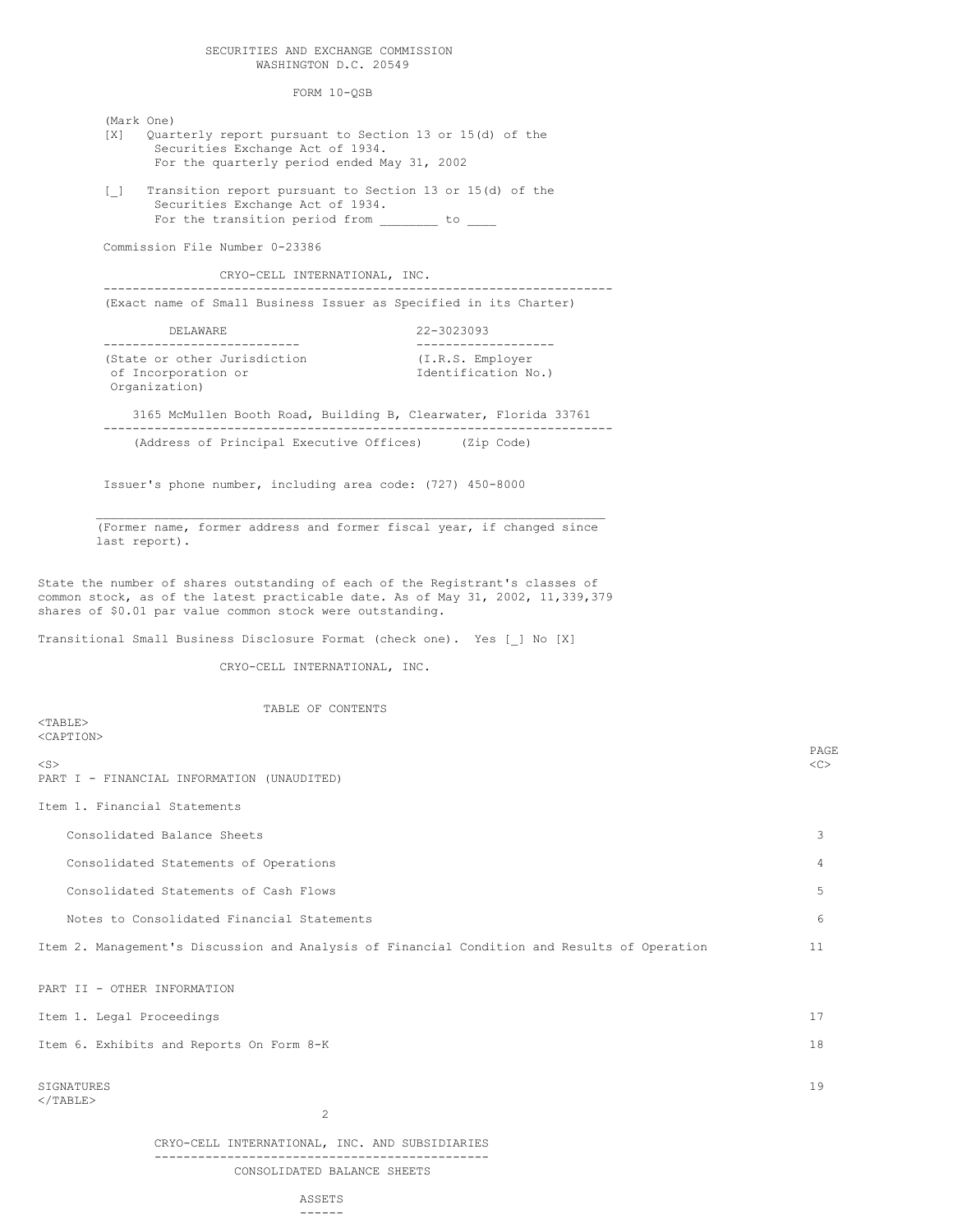SECURITIES AND EXCHANGE COMMISSION WASHINGTON D.C. 20549

FORM 10-QSB

| (Mark One)<br>[X]<br>Quarterly report pursuant to Section 13 or 15(d) of the<br>Securities Exchange Act of 1934.                                                                                                              |                                   |             |
|-------------------------------------------------------------------------------------------------------------------------------------------------------------------------------------------------------------------------------|-----------------------------------|-------------|
| For the quarterly period ended May 31, 2002<br>$\begin{bmatrix} 1 \end{bmatrix}$<br>Transition report pursuant to Section 13 or 15(d) of the                                                                                  |                                   |             |
| Securities Exchange Act of 1934.<br>For the transition period from ________ to ____                                                                                                                                           |                                   |             |
| Commission File Number 0-23386                                                                                                                                                                                                |                                   |             |
| CRYO-CELL INTERNATIONAL, INC.                                                                                                                                                                                                 |                                   |             |
| (Exact name of Small Business Issuer as Specified in its Charter)                                                                                                                                                             |                                   |             |
| DELAWARE                                                                                                                                                                                                                      | 22-3023093<br>------------------- |             |
| (State or other Jurisdiction (I.R.S. Employer<br>of Incorporation or (I.R.S. Employer<br>Organization)                                                                                                                        |                                   |             |
| 3165 McMullen Booth Road, Building B, Clearwater, Florida 33761                                                                                                                                                               |                                   |             |
| (Address of Principal Executive Offices) (Zip Code)                                                                                                                                                                           |                                   |             |
| Issuer's phone number, including area code: (727) 450-8000                                                                                                                                                                    |                                   |             |
| (Former name, former address and former fiscal year, if changed since<br>last report).                                                                                                                                        |                                   |             |
| State the number of shares outstanding of each of the Registrant's classes of<br>common stock, as of the latest practicable date. As of May 31, 2002, 11,339,379<br>shares of \$0.01 par value common stock were outstanding. |                                   |             |
| Transitional Small Business Disclosure Format (check one). Yes [ ] No [X]                                                                                                                                                     |                                   |             |
| CRYO-CELL INTERNATIONAL, INC.                                                                                                                                                                                                 |                                   |             |
| TABLE OF CONTENTS                                                                                                                                                                                                             |                                   |             |
| $<$ TABLE $>$<br><caption></caption>                                                                                                                                                                                          |                                   |             |
| $<$ S $>$<br>PART I - FINANCIAL INFORMATION (UNAUDITED)                                                                                                                                                                       |                                   | PAGE<br><<> |
| Item 1. Financial Statements                                                                                                                                                                                                  |                                   |             |
| Consolidated Balance Sheets                                                                                                                                                                                                   |                                   | 3           |
| Consolidated Statements of Operations                                                                                                                                                                                         |                                   | 4           |
| Consolidated Statements of Cash Flows                                                                                                                                                                                         |                                   | 5           |
| Notes to Consolidated Financial Statements                                                                                                                                                                                    |                                   | 6           |
| Item 2. Management's Discussion and Analysis of Financial Condition and Results of Operation                                                                                                                                  |                                   | 11          |
|                                                                                                                                                                                                                               |                                   |             |
| PART II - OTHER INFORMATION                                                                                                                                                                                                   |                                   |             |
| Item 1. Legal Proceedings                                                                                                                                                                                                     |                                   | 17          |
| Item 6. Exhibits and Reports On Form 8-K                                                                                                                                                                                      |                                   | 18          |
| SIGNATURES<br>                                                                                                                                                                                                                |                                   |             |

  | 19 || 2 |  |  |
| CRYO-CELL INTERNATIONAL, INC. AND SUBSIDIARIES |  |  |
---------------------------------------------- CONSOLIDATED BALANCE SHEETS

## ASSETS ------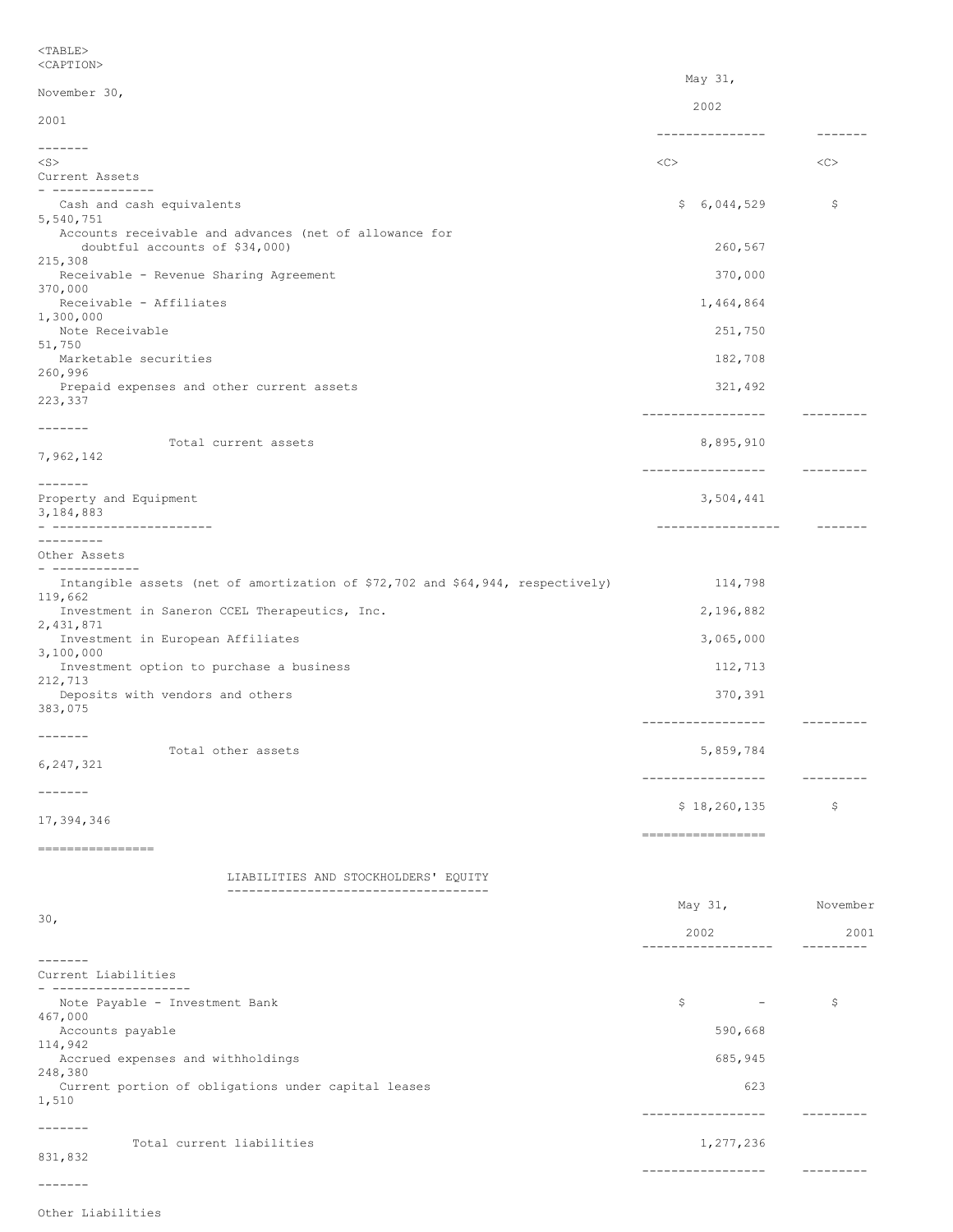| $<$ TABLE $>$                                                                             |                            |                     |
|-------------------------------------------------------------------------------------------|----------------------------|---------------------|
| <caption></caption>                                                                       | May 31,                    |                     |
| November 30,                                                                              | 2002                       |                     |
| 2001                                                                                      | ---------------            | $- - - - - - - - -$ |
| -------                                                                                   |                            |                     |
| $<$ S $>$<br>Current Assets                                                               | <<                         | <<                  |
| - --------------<br>Cash and cash equivalents                                             | \$6,044,529                | $\sqrt{2}$          |
| 5,540,751                                                                                 |                            |                     |
| Accounts receivable and advances (net of allowance for<br>doubtful accounts of \$34,000)  | 260,567                    |                     |
| 215,308                                                                                   |                            |                     |
| Receivable - Revenue Sharing Agreement<br>370,000                                         | 370,000                    |                     |
| Receivable - Affiliates<br>1,300,000                                                      | 1,464,864                  |                     |
| Note Receivable                                                                           | 251,750                    |                     |
| 51,750<br>Marketable securities                                                           | 182,708                    |                     |
| 260,996<br>Prepaid expenses and other current assets                                      | 321,492                    |                     |
| 223,337                                                                                   |                            |                     |
| $- - - - - - -$                                                                           | -----------------          | ----------          |
| Total current assets<br>7,962,142                                                         | 8,895,910                  |                     |
|                                                                                           | -----------------          | ----------          |
| -------<br>Property and Equipment                                                         | 3,504,441                  |                     |
| 3,184,883<br>- ----------------------                                                     | -----------------          |                     |
| ---------                                                                                 |                            |                     |
| Other Assets<br>- ------------                                                            |                            |                     |
| Intangible assets (net of amortization of \$72,702 and \$64,944, respectively)<br>119,662 | 114,798                    |                     |
| Investment in Saneron CCEL Therapeutics, Inc.<br>2,431,871                                | 2,196,882                  |                     |
| Investment in European Affiliates                                                         | 3,065,000                  |                     |
| 3,100,000<br>Investment option to purchase a business                                     | 112,713                    |                     |
| 212,713<br>Deposits with vendors and others                                               | 370,391                    |                     |
| 383,075                                                                                   | -----------------          | ----------          |
| -------                                                                                   |                            |                     |
| Total other assets<br>6, 247, 321                                                         | 5,859,784                  |                     |
| -------                                                                                   | -----------------          | ----------          |
|                                                                                           | \$18, 260, 135             | \$                  |
| 17,394,346                                                                                | ------------------         |                     |
| ----------------                                                                          |                            |                     |
| LIABILITIES AND STOCKHOLDERS' EQUITY                                                      |                            |                     |
| __________________________________                                                        | May 31,                    | November            |
| 30 <sub>1</sub>                                                                           |                            |                     |
|                                                                                           | 2002<br>------------------ | 2001<br>---------   |
| --------<br>Current Liabilities                                                           |                            |                     |
| ---------------<br>Note Payable - Investment Bank                                         | \$<br>$\sim$ $-$           | \$                  |
| 467,000                                                                                   | 590,668                    |                     |
| Accounts payable<br>114,942                                                               |                            |                     |
| Accrued expenses and withholdings<br>248,380                                              | 685,945                    |                     |
| Current portion of obligations under capital leases<br>1,510                              | 623                        |                     |
| -------                                                                                   | -----------------          | ----------          |
| Total current liabilities                                                                 | 1,277,236                  |                     |
| 831,832                                                                                   | -----------------          |                     |
| -------                                                                                   |                            |                     |

Other Liabilities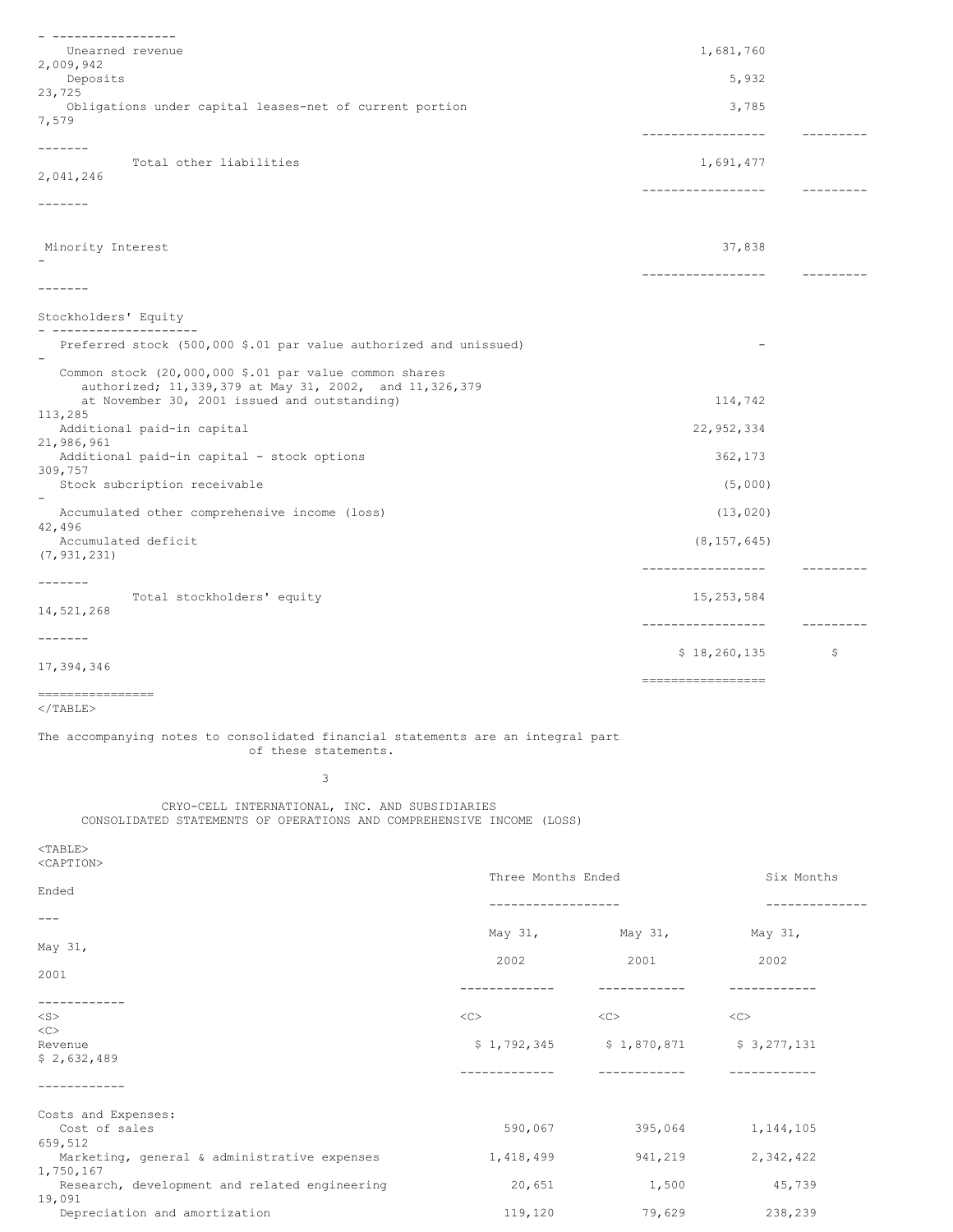Unearned revenue 1,681,760 2,009,942 Deposits 5,932 23,725 Obligations under capital leases-net of current portion 3,785 7,579 ----------------- --------- ------- Total other liabilities 1,691,477 2,041,246 ----------------- --------- ------- Minority Interest 37,838 - ----------------- --------- ------- Stockholders' Equity - -------------------- Preferred stock  $(500,000, 5.01$  par value authorized and unissued) - Common stock (20,000,000 \$.01 par value common shares authorized; 11,339,379 at May 31, 2002, and 11,326,379 at November 30, 2001 issued and outstanding) 114,742 113,285 Additional paid-in capital 22,952,334 21,986,961 Additional paid-in capital - stock options 362,173 309,757 Stock subcription receivable (5,000) - Accumulated other comprehensive income (loss) (13,020) 42,496 Accumulated deficit (8,157,645) (7,931,231) ----------------- --------- ------- Total stockholders' equity 15,253,584 14,521,268 ----------------- --------- -------  $$18,260,135$  \$ 17,394,346 =============== ================ </TABLE> The accompanying notes to consolidated financial statements are an integral part of these statements. 3 CRYO-CELL INTERNATIONAL, INC. AND SUBSIDIARIES CONSOLIDATED STATEMENTS OF OPERATIONS AND COMPREHENSIVE INCOME (LOSS) <TABLE> <CAPTION> Three Months Ended Six Months Ended ------------------ -------------- --- May 31, May 31, May 31, May 31, 2002 2001 2002 2001 ------------- ------------ ------------ ------------ <S> <C> <C> <C>  $<$ Revenue **8 1,792,345** \$ 1,870,871 \$ 3,277,131 \$ 2,632,489 ------------- ------------ ------------ ------------ Costs and Expenses: Cost of sales 590,067 395,064 1,144,105 659,512 Marketing, general & administrative expenses 1,418,499 941,219 2,342,422 1,750,167 Research, development and related engineering 20,651 1,500 45,739 19,091 Depreciation and amortization 119,120 79,629 238,239

- -----------------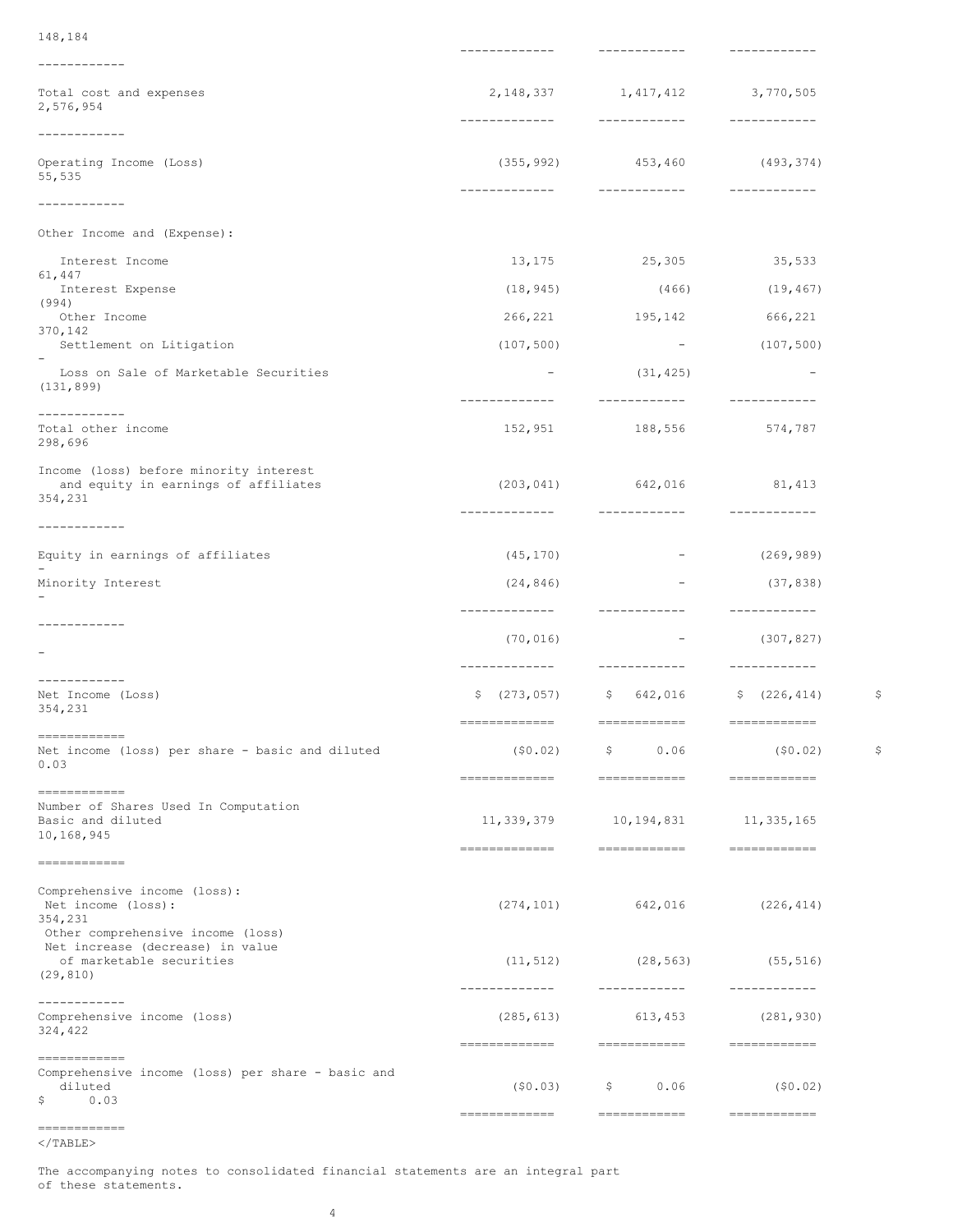| 148,184                                                                                                            | ------------                                   | ------------                                         | ------------                                                                                                                                                                                                                                                                                                                                                                                                                                                                                                                                                                  |    |
|--------------------------------------------------------------------------------------------------------------------|------------------------------------------------|------------------------------------------------------|-------------------------------------------------------------------------------------------------------------------------------------------------------------------------------------------------------------------------------------------------------------------------------------------------------------------------------------------------------------------------------------------------------------------------------------------------------------------------------------------------------------------------------------------------------------------------------|----|
| ------------<br>Total cost and expenses<br>2,576,954                                                               | -------------                                  | 2, 148, 337 1, 417, 412 3, 770, 505<br>------------- | -------------                                                                                                                                                                                                                                                                                                                                                                                                                                                                                                                                                                 |    |
| ------------<br>Operating Income (Loss)<br>55,535                                                                  |                                                | $(355, 992)$ $453, 460$ $(493, 374)$                 |                                                                                                                                                                                                                                                                                                                                                                                                                                                                                                                                                                               |    |
| -----------                                                                                                        |                                                |                                                      |                                                                                                                                                                                                                                                                                                                                                                                                                                                                                                                                                                               |    |
| Other Income and (Expense):                                                                                        |                                                |                                                      |                                                                                                                                                                                                                                                                                                                                                                                                                                                                                                                                                                               |    |
| Interest Income                                                                                                    |                                                | 13, 175 25, 305                                      | 35,533                                                                                                                                                                                                                                                                                                                                                                                                                                                                                                                                                                        |    |
| 61,447<br>Interest Expense                                                                                         | (18, 945)                                      | (466)                                                | (19, 467)                                                                                                                                                                                                                                                                                                                                                                                                                                                                                                                                                                     |    |
| (994)<br>Other Income                                                                                              |                                                | 266, 221 195, 142                                    | 666,221                                                                                                                                                                                                                                                                                                                                                                                                                                                                                                                                                                       |    |
| 370,142<br>Settlement on Litigation                                                                                | (107, 500)                                     |                                                      | $-$ (107,500)                                                                                                                                                                                                                                                                                                                                                                                                                                                                                                                                                                 |    |
| Loss on Sale of Marketable Securities<br>(131, 899)                                                                | -------------                                  | $-$ (31,425)<br>------------                         | ------------                                                                                                                                                                                                                                                                                                                                                                                                                                                                                                                                                                  |    |
| ------------<br>Total other income<br>298,696                                                                      |                                                | 152,951 188,556                                      | 574,787                                                                                                                                                                                                                                                                                                                                                                                                                                                                                                                                                                       |    |
| Income (loss) before minority interest<br>and equity in earnings of affiliates<br>354,231                          |                                                | $(203, 041)$ 642,016 81,413<br>-------------         | ------------                                                                                                                                                                                                                                                                                                                                                                                                                                                                                                                                                                  |    |
| ------------                                                                                                       |                                                |                                                      |                                                                                                                                                                                                                                                                                                                                                                                                                                                                                                                                                                               |    |
| Equity in earnings of affiliates                                                                                   |                                                | $(45, 170)$ - (269,989)                              |                                                                                                                                                                                                                                                                                                                                                                                                                                                                                                                                                                               |    |
| Minority Interest                                                                                                  | (24, 846)                                      | $-$ (37,838)                                         | ------------                                                                                                                                                                                                                                                                                                                                                                                                                                                                                                                                                                  |    |
| ------------                                                                                                       | (70, 016)                                      | $-$ (307,827)                                        |                                                                                                                                                                                                                                                                                                                                                                                                                                                                                                                                                                               |    |
| ------------<br>Net Income (Loss)<br>354,231                                                                       |                                                | _____________                                        | $\frac{1}{2}$ (273,057) $\frac{1}{2}$ 642,016 $\frac{1}{2}$ (226,414) $\frac{1}{2}$<br>$\begin{array}{cccccccccccccc} \multicolumn{2}{c}{} & \multicolumn{2}{c}{} & \multicolumn{2}{c}{} & \multicolumn{2}{c}{} & \multicolumn{2}{c}{} & \multicolumn{2}{c}{} & \multicolumn{2}{c}{} & \multicolumn{2}{c}{} & \multicolumn{2}{c}{} & \multicolumn{2}{c}{} & \multicolumn{2}{c}{} & \multicolumn{2}{c}{} & \multicolumn{2}{c}{} & \multicolumn{2}{c}{} & \multicolumn{2}{c}{} & \multicolumn{2}{c}{} & \multicolumn{2}{c}{} & \multicolumn{2}{c}{} & \multicolumn{2}{c}{} & \$ |    |
| ------------<br>Net income (loss) per share - basic and diluted<br>0.03                                            | =============<br>(50.02)                       | 0.06<br>Ş.                                           | (50.02)                                                                                                                                                                                                                                                                                                                                                                                                                                                                                                                                                                       | \$ |
| ------------<br>Number of Shares Used In Computation<br>Basic and diluted<br>10,168,945                            | --------------<br>11,339,379<br>-------------- | ============<br>10,194,831<br>_______________        | $\qquad \qquad \displaystyle =\qquad \qquad \displaystyle =\qquad \qquad$<br>11,335,165<br>-------------                                                                                                                                                                                                                                                                                                                                                                                                                                                                      |    |
| ============<br>Comprehensive income (loss):<br>Net income (loss):<br>354,231<br>Other comprehensive income (loss) | (274, 101)                                     | 642,016                                              | (226, 414)                                                                                                                                                                                                                                                                                                                                                                                                                                                                                                                                                                    |    |
| Net increase (decrease) in value<br>of marketable securities<br>(29, 810)                                          | -------------                                  | $(11, 512)$ $(28, 563)$ $(55, 516)$<br>------------  | ------------                                                                                                                                                                                                                                                                                                                                                                                                                                                                                                                                                                  |    |
| ------------<br>Comprehensive income (loss)<br>324,422                                                             | (285, 613)<br>=============                    | 613,453<br>============                              | (281, 930)                                                                                                                                                                                                                                                                                                                                                                                                                                                                                                                                                                    |    |
| ============<br>Comprehensive income (loss) per share - basic and<br>diluted<br>0.03<br>\$.                        | (50.03)<br>=============                       | 0.06<br>Ş.<br>============                           | (50.02)<br>$\qquad \qquad \displaystyle =\qquad \qquad \displaystyle =\qquad \qquad$                                                                                                                                                                                                                                                                                                                                                                                                                                                                                          |    |
| ============                                                                                                       |                                                |                                                      |                                                                                                                                                                                                                                                                                                                                                                                                                                                                                                                                                                               |    |

 $<$ /TABLE>

The accompanying notes to consolidated financial statements are an integral part of these statements.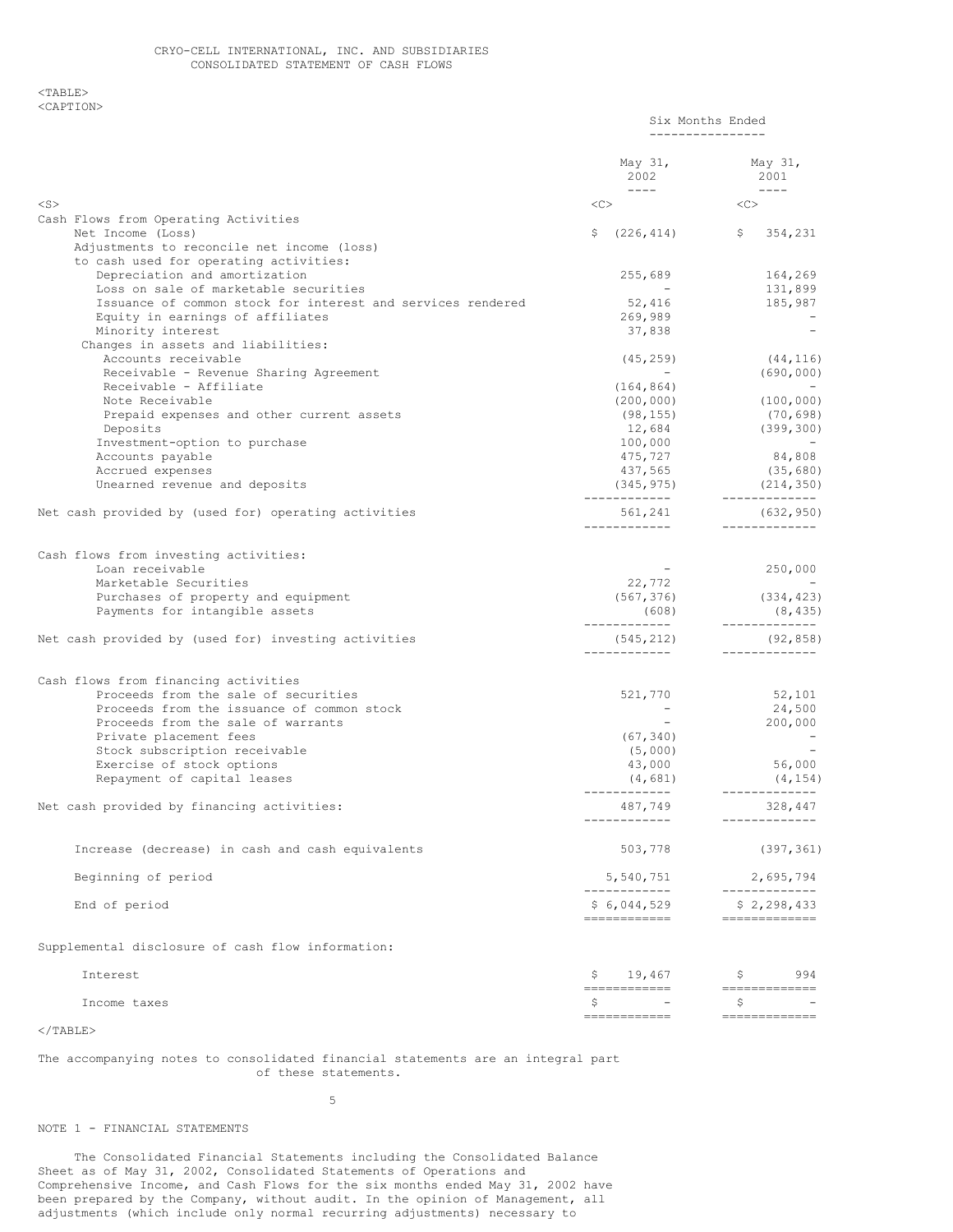### <TABLE> <CAPTION>

|                                                                                                         | Six Months Ended<br>________________                  |                                                                                                                                                                                                                                                                                                                                                                                                                                                                                                  |
|---------------------------------------------------------------------------------------------------------|-------------------------------------------------------|--------------------------------------------------------------------------------------------------------------------------------------------------------------------------------------------------------------------------------------------------------------------------------------------------------------------------------------------------------------------------------------------------------------------------------------------------------------------------------------------------|
|                                                                                                         | May 31,<br>2002<br>$\frac{1}{2}$                      | May 31,<br>2001<br>$- - - - -$                                                                                                                                                                                                                                                                                                                                                                                                                                                                   |
| $<$ S $>$                                                                                               | <<                                                    | < <c></c>                                                                                                                                                                                                                                                                                                                                                                                                                                                                                        |
| Cash Flows from Operating Activities<br>Net Income (Loss)<br>Adjustments to reconcile net income (loss) | \$ (226, 414)                                         | \$354,231                                                                                                                                                                                                                                                                                                                                                                                                                                                                                        |
| to cash used for operating activities:                                                                  |                                                       |                                                                                                                                                                                                                                                                                                                                                                                                                                                                                                  |
| Depreciation and amortization                                                                           | 255,689                                               | 164,269                                                                                                                                                                                                                                                                                                                                                                                                                                                                                          |
| Loss on sale of marketable securities                                                                   |                                                       | 131,899                                                                                                                                                                                                                                                                                                                                                                                                                                                                                          |
| Issuance of common stock for interest and services rendered<br>Equity in earnings of affiliates         | 52,416<br>269,989                                     | 185,987                                                                                                                                                                                                                                                                                                                                                                                                                                                                                          |
| Minority interest                                                                                       | 37,838                                                | $\sim$                                                                                                                                                                                                                                                                                                                                                                                                                                                                                           |
| Changes in assets and liabilities:                                                                      |                                                       |                                                                                                                                                                                                                                                                                                                                                                                                                                                                                                  |
| Accounts receivable                                                                                     | (45, 259)                                             | (44, 116)                                                                                                                                                                                                                                                                                                                                                                                                                                                                                        |
| Receivable - Revenue Sharing Agreement<br>Receivable - Affiliate                                        | (164, 864)                                            | (690, 000)                                                                                                                                                                                                                                                                                                                                                                                                                                                                                       |
| Note Receivable                                                                                         | (200, 000)                                            | (100, 000)                                                                                                                                                                                                                                                                                                                                                                                                                                                                                       |
| Prepaid expenses and other current assets                                                               | (98, 155)                                             | (70,698)                                                                                                                                                                                                                                                                                                                                                                                                                                                                                         |
| Deposits                                                                                                | 12,684                                                | (399, 300)                                                                                                                                                                                                                                                                                                                                                                                                                                                                                       |
| Investment-option to purchase                                                                           | 100,000                                               |                                                                                                                                                                                                                                                                                                                                                                                                                                                                                                  |
| Accounts payable                                                                                        | 475,727                                               | 84,808                                                                                                                                                                                                                                                                                                                                                                                                                                                                                           |
| Accrued expenses                                                                                        | 437,565                                               | (35, 680)                                                                                                                                                                                                                                                                                                                                                                                                                                                                                        |
| Unearned revenue and deposits                                                                           | (345, 975)<br>------------                            | (214, 350)<br>______________                                                                                                                                                                                                                                                                                                                                                                                                                                                                     |
| Net cash provided by (used for) operating activities                                                    | 561,241<br>-------------                              | (632, 950)                                                                                                                                                                                                                                                                                                                                                                                                                                                                                       |
| Cash flows from investing activities:                                                                   |                                                       |                                                                                                                                                                                                                                                                                                                                                                                                                                                                                                  |
| Loan receivable                                                                                         |                                                       | 250,000                                                                                                                                                                                                                                                                                                                                                                                                                                                                                          |
| Marketable Securities                                                                                   | 22,772                                                |                                                                                                                                                                                                                                                                                                                                                                                                                                                                                                  |
| Purchases of property and equipment                                                                     | (567, 376)                                            | (334, 423)                                                                                                                                                                                                                                                                                                                                                                                                                                                                                       |
| Payments for intangible assets                                                                          | (608)                                                 | (8, 435)                                                                                                                                                                                                                                                                                                                                                                                                                                                                                         |
| Net cash provided by (used for) investing activities                                                    | . _ _ _ _ _ _ _ _ _ _ _<br>(545, 212)<br>____________ | $------------$<br>(92, 858)<br>-------------                                                                                                                                                                                                                                                                                                                                                                                                                                                     |
|                                                                                                         |                                                       |                                                                                                                                                                                                                                                                                                                                                                                                                                                                                                  |
| Cash flows from financing activities<br>Proceeds from the sale of securities                            |                                                       |                                                                                                                                                                                                                                                                                                                                                                                                                                                                                                  |
| Proceeds from the issuance of common stock                                                              | 521,770                                               | 52,101<br>24,500                                                                                                                                                                                                                                                                                                                                                                                                                                                                                 |
| Proceeds from the sale of warrants                                                                      | $\overline{\phantom{a}}$                              | 200,000                                                                                                                                                                                                                                                                                                                                                                                                                                                                                          |
| Private placement fees                                                                                  | (67, 340)                                             |                                                                                                                                                                                                                                                                                                                                                                                                                                                                                                  |
| Stock subscription receivable                                                                           | (5,000)                                               |                                                                                                                                                                                                                                                                                                                                                                                                                                                                                                  |
| Exercise of stock options                                                                               | 43,000                                                | 56,000                                                                                                                                                                                                                                                                                                                                                                                                                                                                                           |
| Repayment of capital leases                                                                             | (4, 681)<br>------------                              | (4, 154)<br>-------------                                                                                                                                                                                                                                                                                                                                                                                                                                                                        |
| Net cash provided by financing activities:                                                              | 487,749<br>------------                               | 328,447<br>-------------                                                                                                                                                                                                                                                                                                                                                                                                                                                                         |
| Increase (decrease) in cash and cash equivalents                                                        | 503,778                                               | (397, 361)                                                                                                                                                                                                                                                                                                                                                                                                                                                                                       |
| Beginning of period                                                                                     | 5,540,751                                             | 2,695,794                                                                                                                                                                                                                                                                                                                                                                                                                                                                                        |
|                                                                                                         | -------------                                         | ______________                                                                                                                                                                                                                                                                                                                                                                                                                                                                                   |
| End of period                                                                                           | \$6,044,529                                           | \$2,298,433<br>-------------                                                                                                                                                                                                                                                                                                                                                                                                                                                                     |
| Supplemental disclosure of cash flow information:                                                       |                                                       |                                                                                                                                                                                                                                                                                                                                                                                                                                                                                                  |
| Interest                                                                                                | \$19,467<br>============                              | $\mathsf{S}$ and $\mathsf{S}$<br>994<br>=============                                                                                                                                                                                                                                                                                                                                                                                                                                            |
| Income taxes                                                                                            | \$.<br>$\sim$ $-$<br>============                     | Ş.<br>$\begin{minipage}{0.9\linewidth} \begin{tabular}{l} \multicolumn{2}{l}{} & \multicolumn{2}{l}{} & \multicolumn{2}{l}{} \\ \multicolumn{2}{l}{} & \multicolumn{2}{l}{} & \multicolumn{2}{l}{} \\ \multicolumn{2}{l}{} & \multicolumn{2}{l}{} & \multicolumn{2}{l}{} \\ \multicolumn{2}{l}{} & \multicolumn{2}{l}{} & \multicolumn{2}{l}{} \\ \multicolumn{2}{l}{} & \multicolumn{2}{l}{} & \multicolumn{2}{l}{} \\ \multicolumn{2}{l}{} & \multicolumn{2}{l}{} & \multicolumn{2}{l}{} \\ \$ |
| $\langle$ /TABLE>                                                                                       |                                                       |                                                                                                                                                                                                                                                                                                                                                                                                                                                                                                  |

# The accompanying notes to consolidated financial statements are an integral part of these statements.

5

# NOTE 1 - FINANCIAL STATEMENTS

The Consolidated Financial Statements including the Consolidated Balance Sheet as of May 31, 2002, Consolidated Statements of Operations and Comprehensive Income, and Cash Flows for the six months ended May 31, 2002 have been prepared by the Company, without audit. In the opinion of Management, all adjustments (which include only normal recurring adjustments) necessary to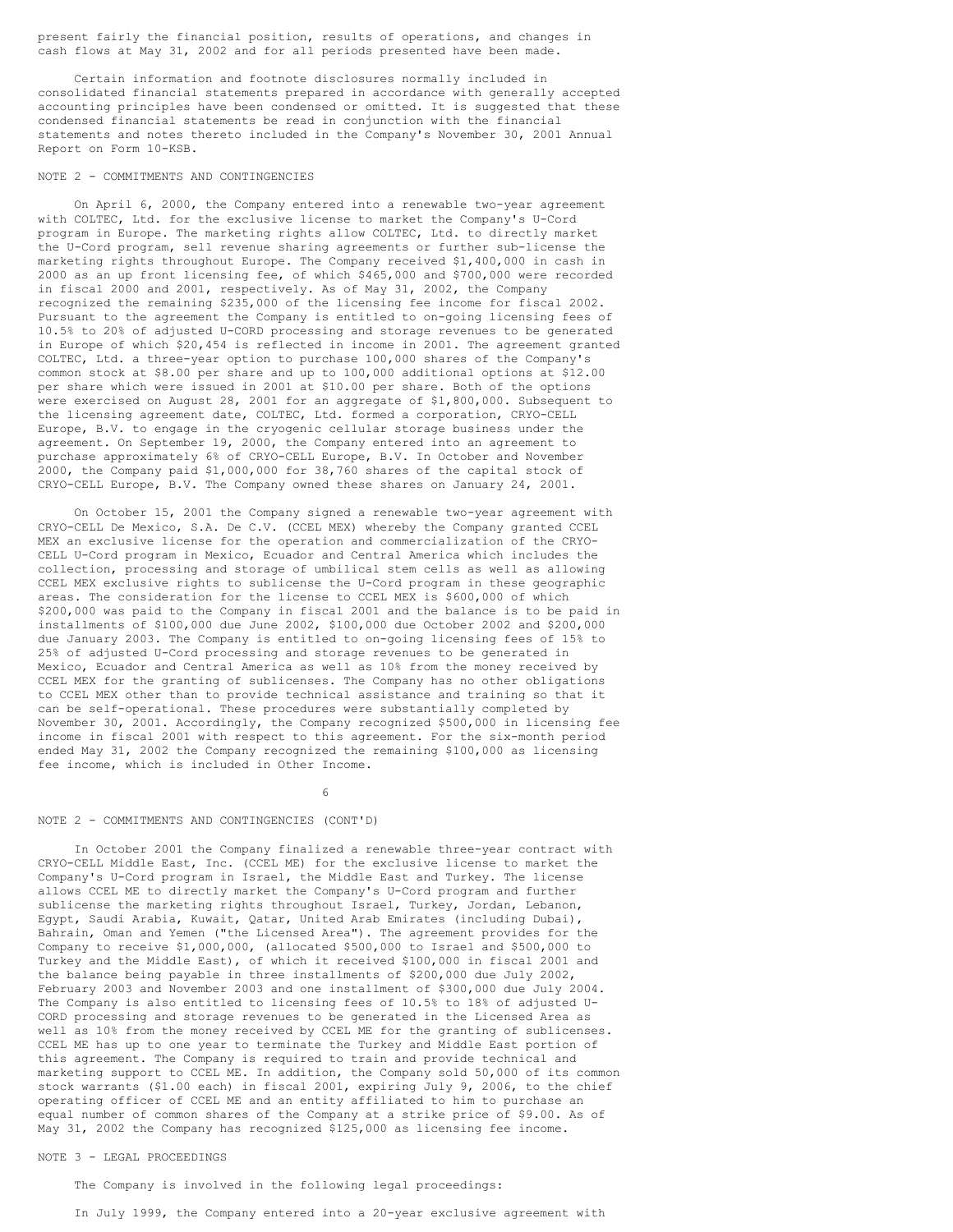present fairly the financial position, results of operations, and changes in cash flows at May 31, 2002 and for all periods presented have been made.

Certain information and footnote disclosures normally included in consolidated financial statements prepared in accordance with generally accepted accounting principles have been condensed or omitted. It is suggested that these condensed financial statements be read in conjunction with the financial statements and notes thereto included in the Company's November 30, 2001 Annual Report on Form 10-KSB.

## NOTE 2 - COMMITMENTS AND CONTINGENCIES

On April 6, 2000, the Company entered into a renewable two-year agreement with COLTEC, Ltd. for the exclusive license to market the Company's U-Cord program in Europe. The marketing rights allow COLTEC, Ltd. to directly market the U-Cord program, sell revenue sharing agreements or further sub-license the marketing rights throughout Europe. The Company received \$1,400,000 in cash in 2000 as an up front licensing fee, of which \$465,000 and \$700,000 were recorded in fiscal 2000 and 2001, respectively. As of May 31, 2002, the Company recognized the remaining \$235,000 of the licensing fee income for fiscal 2002. Pursuant to the agreement the Company is entitled to on-going licensing fees of 10.5% to 20% of adjusted U-CORD processing and storage revenues to be generated in Europe of which \$20,454 is reflected in income in 2001. The agreement granted COLTEC, Ltd. a three-year option to purchase 100,000 shares of the Company's common stock at \$8.00 per share and up to 100,000 additional options at \$12.00 per share which were issued in 2001 at \$10.00 per share. Both of the options were exercised on August 28, 2001 for an aggregate of \$1,800,000. Subsequent to the licensing agreement date, COLTEC, Ltd. formed a corporation, CRYO-CELL Europe, B.V. to engage in the cryogenic cellular storage business under the agreement. On September 19, 2000, the Company entered into an agreement to purchase approximately 6% of CRYO-CELL Europe, B.V. In October and November 2000, the Company paid \$1,000,000 for 38,760 shares of the capital stock of CRYO-CELL Europe, B.V. The Company owned these shares on January 24, 2001.

On October 15, 2001 the Company signed a renewable two-year agreement with CRYO-CELL De Mexico, S.A. De C.V. (CCEL MEX) whereby the Company granted CCEL MEX an exclusive license for the operation and commercialization of the CRYO-CELL U-Cord program in Mexico, Ecuador and Central America which includes the collection, processing and storage of umbilical stem cells as well as allowing CCEL MEX exclusive rights to sublicense the U-Cord program in these geographic areas. The consideration for the license to CCEL MEX is \$600,000 of which \$200,000 was paid to the Company in fiscal 2001 and the balance is to be paid in installments of \$100,000 due June 2002, \$100,000 due October 2002 and \$200,000 due January 2003. The Company is entitled to on-going licensing fees of 15% to 25% of adjusted U-Cord processing and storage revenues to be generated in Mexico, Ecuador and Central America as well as 10% from the money received by CCEL MEX for the granting of sublicenses. The Company has no other obligations to CCEL MEX other than to provide technical assistance and training so that it can be self-operational. These procedures were substantially completed by November 30, 2001. Accordingly, the Company recognized \$500,000 in licensing fee income in fiscal 2001 with respect to this agreement. For the six-month period ended May 31, 2002 the Company recognized the remaining \$100,000 as licensing fee income, which is included in Other Income.

6

#### NOTE 2 - COMMITMENTS AND CONTINGENCIES (CONT'D)

In October 2001 the Company finalized a renewable three-year contract with CRYO-CELL Middle East, Inc. (CCEL ME) for the exclusive license to market the Company's U-Cord program in Israel, the Middle East and Turkey. The license allows CCEL ME to directly market the Company's U-Cord program and further sublicense the marketing rights throughout Israel, Turkey, Jordan, Lebanon, Egypt, Saudi Arabia, Kuwait, Qatar, United Arab Emirates (including Dubai), Bahrain, Oman and Yemen ("the Licensed Area"). The agreement provides for the Company to receive \$1,000,000, (allocated \$500,000 to Israel and \$500,000 to Turkey and the Middle East), of which it received \$100,000 in fiscal 2001 and the balance being payable in three installments of \$200,000 due July 2002, February 2003 and November 2003 and one installment of \$300,000 due July 2004. The Company is also entitled to licensing fees of 10.5% to 18% of adjusted U-CORD processing and storage revenues to be generated in the Licensed Area as well as 10% from the money received by CCEL ME for the granting of sublicenses. CCEL ME has up to one year to terminate the Turkey and Middle East portion of this agreement. The Company is required to train and provide technical and marketing support to CCEL ME. In addition, the Company sold 50,000 of its common stock warrants (\$1.00 each) in fiscal 2001, expiring July 9, 2006, to the chief operating officer of CCEL ME and an entity affiliated to him to purchase an equal number of common shares of the Company at a strike price of \$9.00. As of May 31, 2002 the Company has recognized \$125,000 as licensing fee income.

### NOTE 3 - LEGAL PROCEEDINGS

The Company is involved in the following legal proceedings:

In July 1999, the Company entered into a 20-year exclusive agreement with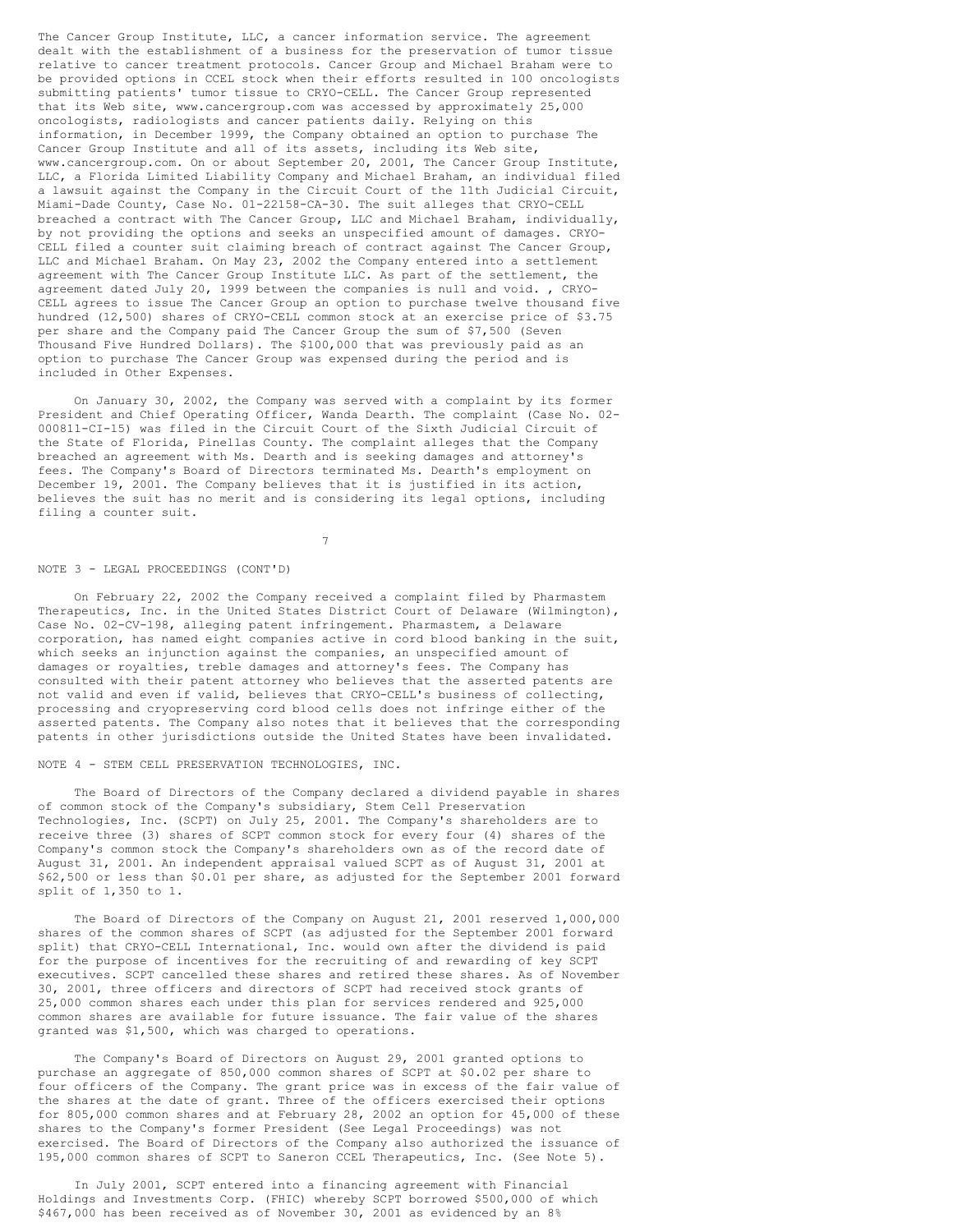The Cancer Group Institute, LLC, a cancer information service. The agreement dealt with the establishment of a business for the preservation of tumor tissue relative to cancer treatment protocols. Cancer Group and Michael Braham were to be provided options in CCEL stock when their efforts resulted in 100 oncologists submitting patients' tumor tissue to CRYO-CELL. The Cancer Group represented that its Web site, www.cancergroup.com was accessed by approximately 25,000 oncologists, radiologists and cancer patients daily. Relying on this information, in December 1999, the Company obtained an option to purchase The Cancer Group Institute and all of its assets, including its Web site, www.cancergroup.com. On or about September 20, 2001, The Cancer Group Institute, LLC, a Florida Limited Liability Company and Michael Braham, an individual filed a lawsuit against the Company in the Circuit Court of the 11th Judicial Circuit, Miami-Dade County, Case No. 01-22158-CA-30. The suit alleges that CRYO-CELL breached a contract with The Cancer Group, LLC and Michael Braham, individually, by not providing the options and seeks an unspecified amount of damages. CRYO-CELL filed a counter suit claiming breach of contract against The Cancer Group, LLC and Michael Braham. On May 23, 2002 the Company entered into a settlement agreement with The Cancer Group Institute LLC. As part of the settlement, the agreement dated July 20, 1999 between the companies is null and void. , CRYO-CELL agrees to issue The Cancer Group an option to purchase twelve thousand five hundred (12,500) shares of CRYO-CELL common stock at an exercise price of \$3.75 per share and the Company paid The Cancer Group the sum of \$7,500 (Seven Thousand Five Hundred Dollars). The \$100,000 that was previously paid as an option to purchase The Cancer Group was expensed during the period and is included in Other Expenses.

On January 30, 2002, the Company was served with a complaint by its former President and Chief Operating Officer, Wanda Dearth. The complaint (Case No. 02- 000811-CI-15) was filed in the Circuit Court of the Sixth Judicial Circuit of the State of Florida, Pinellas County. The complaint alleges that the Company breached an agreement with Ms. Dearth and is seeking damages and attorney's fees. The Company's Board of Directors terminated Ms. Dearth's employment on December 19, 2001. The Company believes that it is justified in its action, believes the suit has no merit and is considering its legal options, including filing a counter suit.

7

#### NOTE 3 - LEGAL PROCEEDINGS (CONT'D)

On February 22, 2002 the Company received a complaint filed by Pharmastem Therapeutics, Inc. in the United States District Court of Delaware (Wilmington), Case No. 02-CV-198, alleging patent infringement. Pharmastem, a Delaware corporation, has named eight companies active in cord blood banking in the suit, which seeks an injunction against the companies, an unspecified amount of damages or royalties, treble damages and attorney's fees. The Company has consulted with their patent attorney who believes that the asserted patents are not valid and even if valid, believes that CRYO-CELL's business of collecting, processing and cryopreserving cord blood cells does not infringe either of the asserted patents. The Company also notes that it believes that the corresponding patents in other jurisdictions outside the United States have been invalidated.

### NOTE 4 - STEM CELL PRESERVATION TECHNOLOGIES, INC.

The Board of Directors of the Company declared a dividend payable in shares of common stock of the Company's subsidiary, Stem Cell Preservation Technologies, Inc. (SCPT) on July 25, 2001. The Company's shareholders are to receive three (3) shares of SCPT common stock for every four (4) shares of the Company's common stock the Company's shareholders own as of the record date of August 31, 2001. An independent appraisal valued SCPT as of August 31, 2001 at \$62,500 or less than \$0.01 per share, as adjusted for the September 2001 forward split of 1,350 to 1.

The Board of Directors of the Company on August 21, 2001 reserved 1,000,000 shares of the common shares of SCPT (as adjusted for the September 2001 forward split) that CRYO-CELL International, Inc. would own after the dividend is paid for the purpose of incentives for the recruiting of and rewarding of key SCPT executives. SCPT cancelled these shares and retired these shares. As of November 30, 2001, three officers and directors of SCPT had received stock grants of 25,000 common shares each under this plan for services rendered and 925,000 common shares are available for future issuance. The fair value of the shares granted was \$1,500, which was charged to operations.

The Company's Board of Directors on August 29, 2001 granted options to purchase an aggregate of 850,000 common shares of SCPT at \$0.02 per share to four officers of the Company. The grant price was in excess of the fair value of the shares at the date of grant. Three of the officers exercised their options for 805,000 common shares and at February 28, 2002 an option for 45,000 of these shares to the Company's former President (See Legal Proceedings) was not exercised. The Board of Directors of the Company also authorized the issuance of 195,000 common shares of SCPT to Saneron CCEL Therapeutics, Inc. (See Note 5).

In July 2001, SCPT entered into a financing agreement with Financial Holdings and Investments Corp. (FHIC) whereby SCPT borrowed \$500,000 of which \$467,000 has been received as of November 30, 2001 as evidenced by an 8%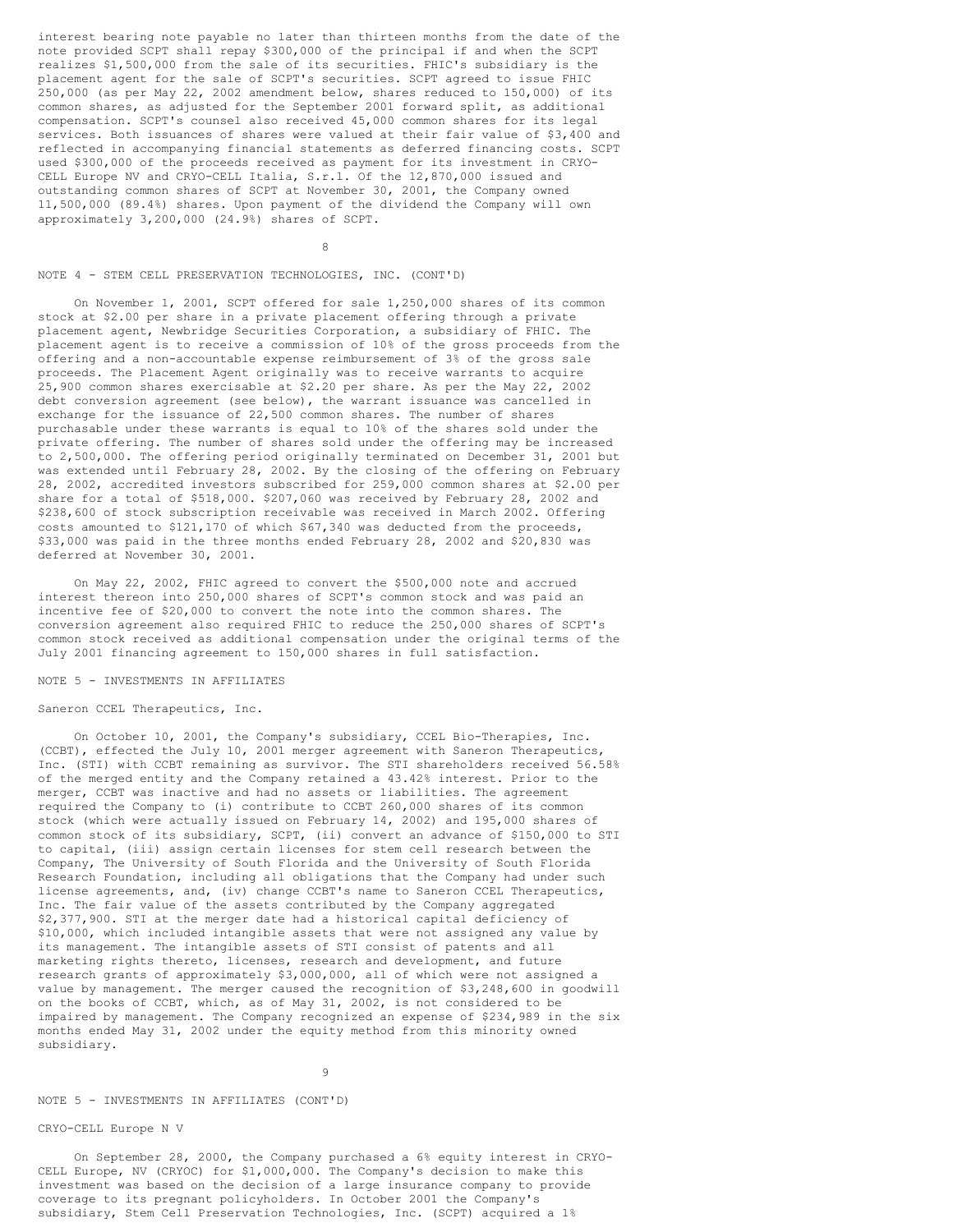interest bearing note payable no later than thirteen months from the date of the note provided SCPT shall repay \$300,000 of the principal if and when the SCPT realizes \$1,500,000 from the sale of its securities. FHIC's subsidiary is the placement agent for the sale of SCPT's securities. SCPT agreed to issue FHIC 250,000 (as per May 22, 2002 amendment below, shares reduced to 150,000) of its common shares, as adjusted for the September 2001 forward split, as additional compensation. SCPT's counsel also received 45,000 common shares for its legal services. Both issuances of shares were valued at their fair value of \$3,400 and reflected in accompanying financial statements as deferred financing costs. SCPT used \$300,000 of the proceeds received as payment for its investment in CRYO-CELL Europe NV and CRYO-CELL Italia, S.r.l. Of the 12,870,000 issued and outstanding common shares of SCPT at November 30, 2001, the Company owned 11,500,000 (89.4%) shares. Upon payment of the dividend the Company will own approximately 3,200,000 (24.9%) shares of SCPT.

#### 8

## NOTE 4 - STEM CELL PRESERVATION TECHNOLOGIES, INC. (CONT'D)

On November 1, 2001, SCPT offered for sale 1,250,000 shares of its common stock at \$2.00 per share in a private placement offering through a private placement agent, Newbridge Securities Corporation, a subsidiary of FHIC. The placement agent is to receive a commission of 10% of the gross proceeds from the offering and a non-accountable expense reimbursement of 3% of the gross sale proceeds. The Placement Agent originally was to receive warrants to acquire 25,900 common shares exercisable at \$2.20 per share. As per the May 22, 2002 debt conversion agreement (see below), the warrant issuance was cancelled in exchange for the issuance of 22,500 common shares. The number of shares purchasable under these warrants is equal to 10% of the shares sold under the private offering. The number of shares sold under the offering may be increased to 2,500,000. The offering period originally terminated on December 31, 2001 but was extended until February 28, 2002. By the closing of the offering on February 28, 2002, accredited investors subscribed for 259,000 common shares at \$2.00 per share for a total of \$518,000. \$207,060 was received by February 28, 2002 and \$238,600 of stock subscription receivable was received in March 2002. Offering costs amounted to \$121,170 of which \$67,340 was deducted from the proceeds, \$33,000 was paid in the three months ended February 28, 2002 and \$20,830 was deferred at November 30, 2001.

On May 22, 2002, FHIC agreed to convert the \$500,000 note and accrued interest thereon into 250,000 shares of SCPT's common stock and was paid an incentive fee of \$20,000 to convert the note into the common shares. The conversion agreement also required FHIC to reduce the 250,000 shares of SCPT's common stock received as additional compensation under the original terms of the July 2001 financing agreement to 150,000 shares in full satisfaction.

## NOTE 5 - INVESTMENTS IN AFFILIATES

### Saneron CCEL Therapeutics, Inc.

On October 10, 2001, the Company's subsidiary, CCEL Bio-Therapies, Inc. (CCBT), effected the July 10, 2001 merger agreement with Saneron Therapeutics, Inc. (STI) with CCBT remaining as survivor. The STI shareholders received 56.58% of the merged entity and the Company retained a 43.42% interest. Prior to the merger, CCBT was inactive and had no assets or liabilities. The agreement required the Company to (i) contribute to CCBT 260,000 shares of its common stock (which were actually issued on February 14, 2002) and 195,000 shares of common stock of its subsidiary, SCPT, (ii) convert an advance of \$150,000 to STI to capital, (iii) assign certain licenses for stem cell research between the Company, The University of South Florida and the University of South Florida Research Foundation, including all obligations that the Company had under such license agreements, and, (iv) change CCBT's name to Saneron CCEL Therapeutics, Inc. The fair value of the assets contributed by the Company aggregated \$2,377,900. STI at the merger date had a historical capital deficiency of \$10,000, which included intangible assets that were not assigned any value by its management. The intangible assets of STI consist of patents and all marketing rights thereto, licenses, research and development, and future research grants of approximately \$3,000,000, all of which were not assigned a value by management. The merger caused the recognition of \$3,248,600 in goodwill on the books of CCBT, which, as of May 31, 2002, is not considered to be impaired by management. The Company recognized an expense of \$234,989 in the six months ended May 31, 2002 under the equity method from this minority owned subsidiary.

#### 9

### NOTE 5 - INVESTMENTS IN AFFILIATES (CONT'D)

# CRYO-CELL Europe N V

On September 28, 2000, the Company purchased a 6% equity interest in CRYO-CELL Europe, NV (CRYOC) for \$1,000,000. The Company's decision to make this investment was based on the decision of a large insurance company to provide coverage to its pregnant policyholders. In October 2001 the Company's subsidiary, Stem Cell Preservation Technologies, Inc. (SCPT) acquired a 1%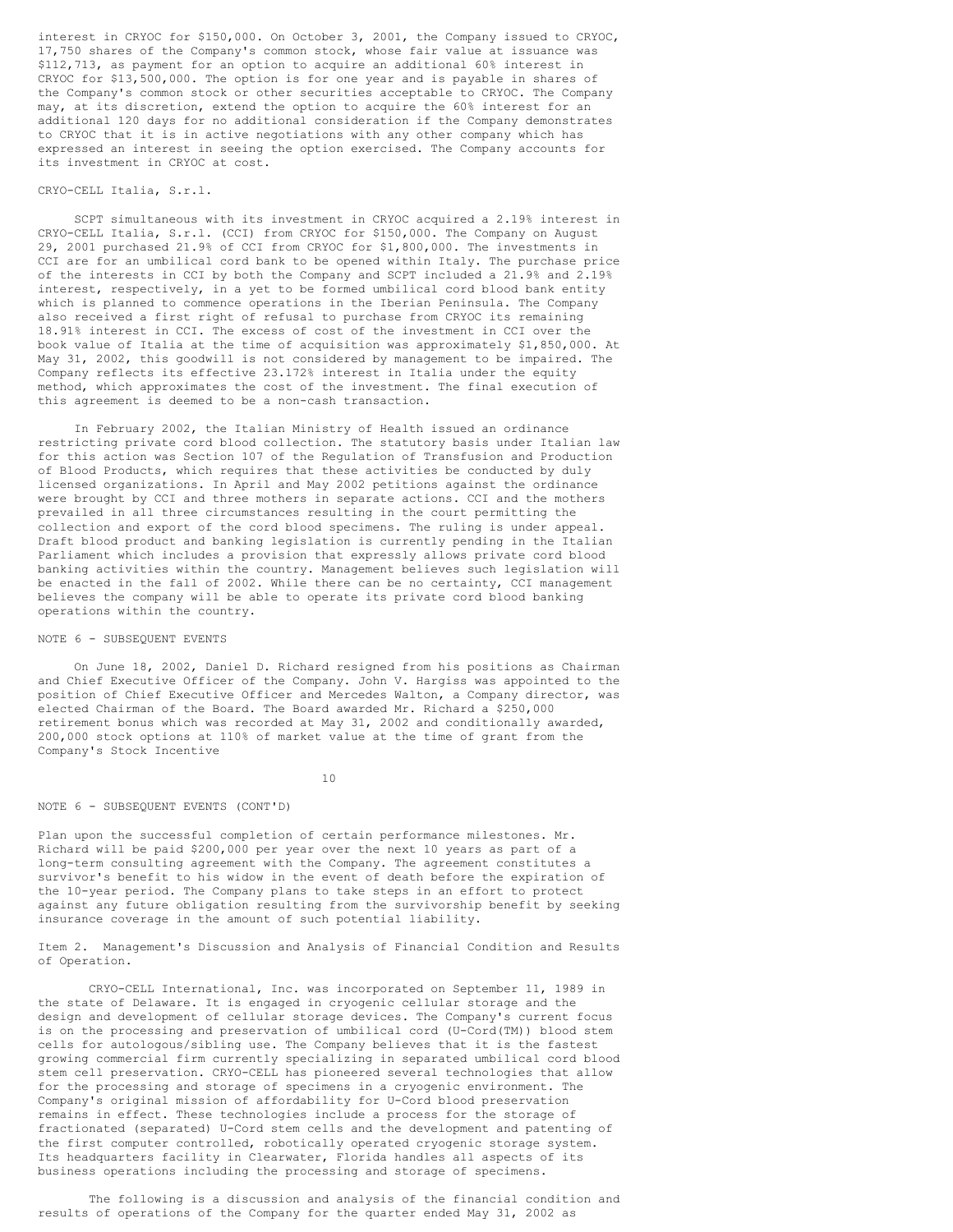interest in CRYOC for \$150,000. On October 3, 2001, the Company issued to CRYOC, 17,750 shares of the Company's common stock, whose fair value at issuance was \$112,713, as payment for an option to acquire an additional 60% interest in CRYOC for \$13,500,000. The option is for one year and is payable in shares of the Company's common stock or other securities acceptable to CRYOC. The Company may, at its discretion, extend the option to acquire the 60% interest for an additional 120 days for no additional consideration if the Company demonstrates to CRYOC that it is in active negotiations with any other company which has expressed an interest in seeing the option exercised. The Company accounts for its investment in CRYOC at cost.

#### CRYO-CELL Italia, S.r.l.

SCPT simultaneous with its investment in CRYOC acquired a 2.19% interest in CRYO-CELL Italia, S.r.l. (CCI) from CRYOC for \$150,000. The Company on August 29, 2001 purchased 21.9% of CCI from CRYOC for \$1,800,000. The investments in CCI are for an umbilical cord bank to be opened within Italy. The purchase price of the interests in CCI by both the Company and SCPT included a 21.9% and 2.19% interest, respectively, in a yet to be formed umbilical cord blood bank entity which is planned to commence operations in the Iberian Peninsula. The Company also received a first right of refusal to purchase from CRYOC its remaining 18.91% interest in CCI. The excess of cost of the investment in CCI over the book value of Italia at the time of acquisition was approximately \$1,850,000. At May 31, 2002, this goodwill is not considered by management to be impaired. The Company reflects its effective 23.172% interest in Italia under the equity method, which approximates the cost of the investment. The final execution of this agreement is deemed to be a non-cash transaction.

In February 2002, the Italian Ministry of Health issued an ordinance restricting private cord blood collection. The statutory basis under Italian law for this action was Section 107 of the Regulation of Transfusion and Production of Blood Products, which requires that these activities be conducted by duly licensed organizations. In April and May 2002 petitions against the ordinance were brought by CCI and three mothers in separate actions. CCI and the mothers prevailed in all three circumstances resulting in the court permitting the collection and export of the cord blood specimens. The ruling is under appeal. Draft blood product and banking legislation is currently pending in the Italian Parliament which includes a provision that expressly allows private cord blood banking activities within the country. Management believes such legislation will be enacted in the fall of 2002. While there can be no certainty, CCI management believes the company will be able to operate its private cord blood banking operations within the country.

# NOTE 6 - SUBSEQUENT EVENTS

On June 18, 2002, Daniel D. Richard resigned from his positions as Chairman and Chief Executive Officer of the Company. John V. Hargiss was appointed to the position of Chief Executive Officer and Mercedes Walton, a Company director, was elected Chairman of the Board. The Board awarded Mr. Richard a \$250,000 retirement bonus which was recorded at May 31, 2002 and conditionally awarded, 200,000 stock options at 110% of market value at the time of grant from the Company's Stock Incentive

10

#### NOTE 6 - SUBSEQUENT EVENTS (CONT'D)

Plan upon the successful completion of certain performance milestones. Mr. Richard will be paid \$200,000 per year over the next 10 years as part of a long-term consulting agreement with the Company. The agreement constitutes a survivor's benefit to his widow in the event of death before the expiration of the 10-year period. The Company plans to take steps in an effort to protect against any future obligation resulting from the survivorship benefit by seeking insurance coverage in the amount of such potential liability.

Item 2. Management's Discussion and Analysis of Financial Condition and Results of Operation.

CRYO-CELL International, Inc. was incorporated on September 11, 1989 in the state of Delaware. It is engaged in cryogenic cellular storage and the design and development of cellular storage devices. The Company's current focus is on the processing and preservation of umbilical cord (U-Cord(TM)) blood stem cells for autologous/sibling use. The Company believes that it is the fastest growing commercial firm currently specializing in separated umbilical cord blood stem cell preservation. CRYO-CELL has pioneered several technologies that allow for the processing and storage of specimens in a cryogenic environment. The Company's original mission of affordability for U-Cord blood preservation remains in effect. These technologies include a process for the storage of fractionated (separated) U-Cord stem cells and the development and patenting of the first computer controlled, robotically operated cryogenic storage system. Its headquarters facility in Clearwater, Florida handles all aspects of its business operations including the processing and storage of specimens.

The following is a discussion and analysis of the financial condition and results of operations of the Company for the quarter ended May 31, 2002 as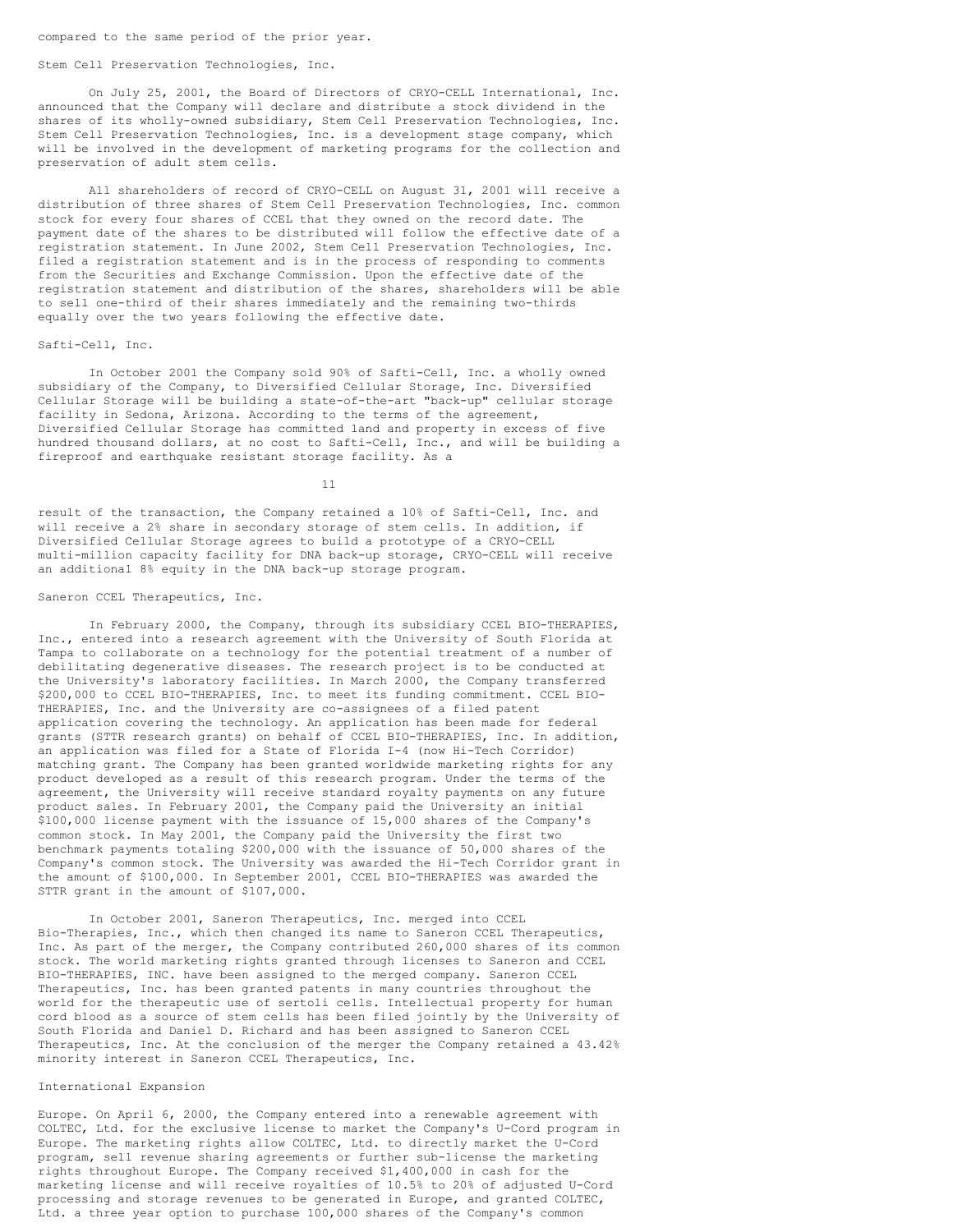### Stem Cell Preservation Technologies, Inc.

On July 25, 2001, the Board of Directors of CRYO-CELL International, Inc. announced that the Company will declare and distribute a stock dividend in the shares of its wholly-owned subsidiary, Stem Cell Preservation Technologies, Inc. Stem Cell Preservation Technologies, Inc. is a development stage company, which will be involved in the development of marketing programs for the collection and preservation of adult stem cells.

All shareholders of record of CRYO-CELL on August 31, 2001 will receive a distribution of three shares of Stem Cell Preservation Technologies, Inc. common stock for every four shares of CCEL that they owned on the record date. The payment date of the shares to be distributed will follow the effective date of a registration statement. In June 2002, Stem Cell Preservation Technologies, Inc. filed a registration statement and is in the process of responding to comments from the Securities and Exchange Commission. Upon the effective date of the registration statement and distribution of the shares, shareholders will be able to sell one-third of their shares immediately and the remaining two-thirds equally over the two years following the effective date.

### Safti-Cell, Inc.

In October 2001 the Company sold 90% of Safti-Cell, Inc. a wholly owned subsidiary of the Company, to Diversified Cellular Storage, Inc. Diversified Cellular Storage will be building a state-of-the-art "back-up" cellular storage facility in Sedona, Arizona. According to the terms of the agreement, Diversified Cellular Storage has committed land and property in excess of five hundred thousand dollars, at no cost to Safti-Cell, Inc., and will be building a fireproof and earthquake resistant storage facility. As a

11

result of the transaction, the Company retained a 10% of Safti-Cell, Inc. and will receive a 2% share in secondary storage of stem cells. In addition, if Diversified Cellular Storage agrees to build a prototype of a CRYO-CELL multi-million capacity facility for DNA back-up storage, CRYO-CELL will receive an additional 8% equity in the DNA back-up storage program.

# Saneron CCEL Therapeutics, Inc.

In February 2000, the Company, through its subsidiary CCEL BIO-THERAPIES, Inc., entered into a research agreement with the University of South Florida at Tampa to collaborate on a technology for the potential treatment of a number of debilitating degenerative diseases. The research project is to be conducted at the University's laboratory facilities. In March 2000, the Company transferred \$200,000 to CCEL BIO-THERAPIES, Inc. to meet its funding commitment. CCEL BIO-THERAPIES, Inc. and the University are co-assignees of a filed patent application covering the technology. An application has been made for federal grants (STTR research grants) on behalf of CCEL BIO-THERAPIES, Inc. In addition, an application was filed for a State of Florida I-4 (now Hi-Tech Corridor) matching grant. The Company has been granted worldwide marketing rights for any product developed as a result of this research program. Under the terms of the agreement, the University will receive standard royalty payments on any future product sales. In February 2001, the Company paid the University an initial \$100,000 license payment with the issuance of 15,000 shares of the Company's common stock. In May 2001, the Company paid the University the first two benchmark payments totaling \$200,000 with the issuance of 50,000 shares of the Company's common stock. The University was awarded the Hi-Tech Corridor grant in the amount of \$100,000. In September 2001, CCEL BIO-THERAPIES was awarded the STTR grant in the amount of \$107,000.

In October 2001, Saneron Therapeutics, Inc. merged into CCEL Bio-Therapies, Inc., which then changed its name to Saneron CCEL Therapeutics, Inc. As part of the merger, the Company contributed 260,000 shares of its common stock. The world marketing rights granted through licenses to Saneron and CCEL BIO-THERAPIES, INC. have been assigned to the merged company. Saneron CCEL Therapeutics, Inc. has been granted patents in many countries throughout the world for the therapeutic use of sertoli cells. Intellectual property for human cord blood as a source of stem cells has been filed jointly by the University of South Florida and Daniel D. Richard and has been assigned to Saneron CCEL Therapeutics, Inc. At the conclusion of the merger the Company retained a 43.42% minority interest in Saneron CCEL Therapeutics, Inc.

#### International Expansion

Europe. On April 6, 2000, the Company entered into a renewable agreement with COLTEC, Ltd. for the exclusive license to market the Company's U-Cord program in Europe. The marketing rights allow COLTEC, Ltd. to directly market the U-Cord program, sell revenue sharing agreements or further sub-license the marketing rights throughout Europe. The Company received \$1,400,000 in cash for the marketing license and will receive royalties of 10.5% to 20% of adjusted U-Cord processing and storage revenues to be generated in Europe, and granted COLTEC, Ltd. a three year option to purchase 100,000 shares of the Company's common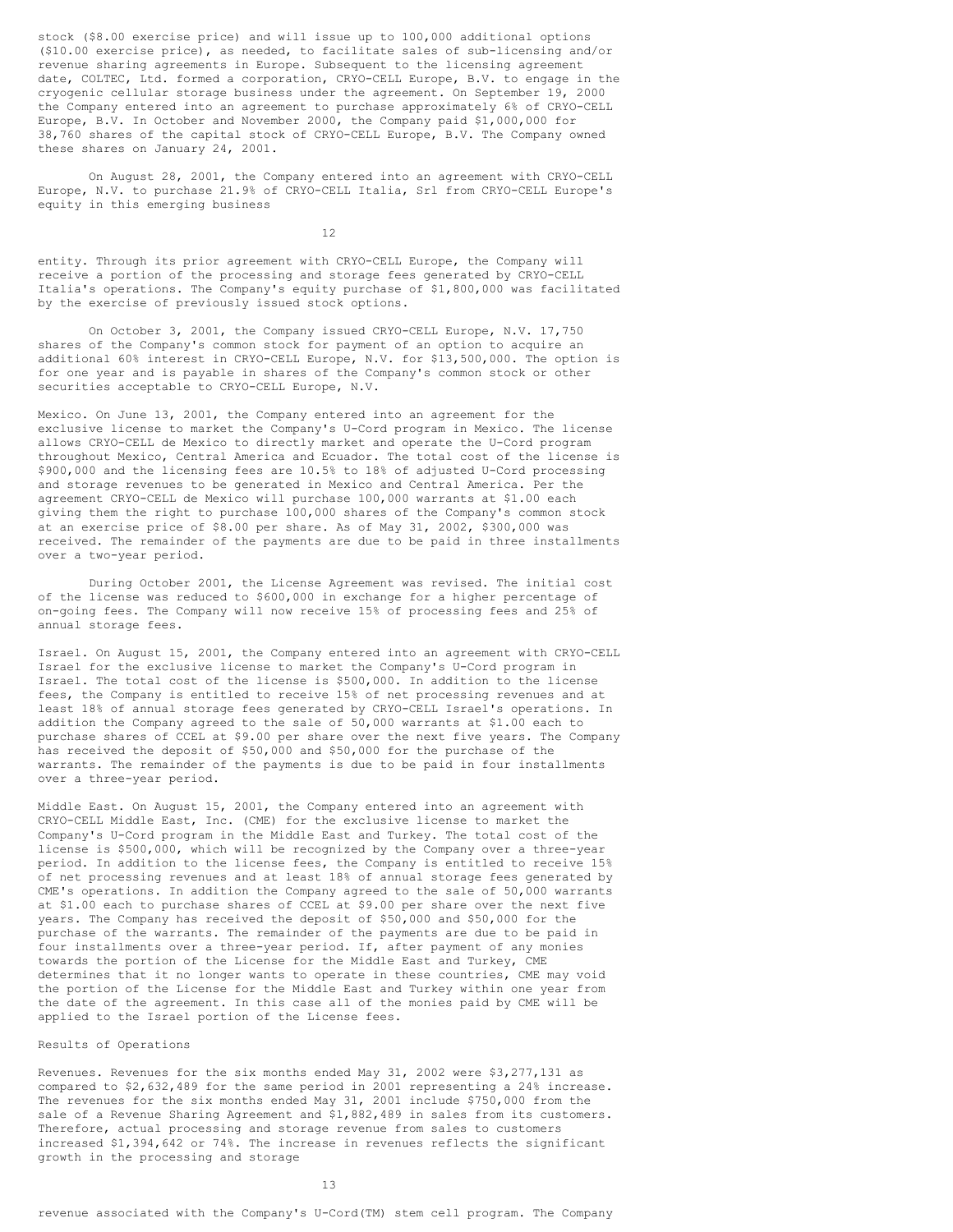stock (\$8.00 exercise price) and will issue up to 100,000 additional options (\$10.00 exercise price), as needed, to facilitate sales of sub-licensing and/or revenue sharing agreements in Europe. Subsequent to the licensing agreement date, COLTEC, Ltd. formed a corporation, CRYO-CELL Europe, B.V. to engage in the cryogenic cellular storage business under the agreement. On September 19, 2000 the Company entered into an agreement to purchase approximately 6% of CRYO-CELL Europe, B.V. In October and November 2000, the Company paid \$1,000,000 for 38,760 shares of the capital stock of CRYO-CELL Europe, B.V. The Company owned these shares on January 24, 2001.

On August 28, 2001, the Company entered into an agreement with CRYO-CELL Europe, N.V. to purchase 21.9% of CRYO-CELL Italia, Srl from CRYO-CELL Europe's equity in this emerging business

12

entity. Through its prior agreement with CRYO-CELL Europe, the Company will receive a portion of the processing and storage fees generated by CRYO-CELL Italia's operations. The Company's equity purchase of \$1,800,000 was facilitated by the exercise of previously issued stock options.

On October 3, 2001, the Company issued CRYO-CELL Europe, N.V. 17,750 shares of the Company's common stock for payment of an option to acquire an additional 60% interest in CRYO-CELL Europe, N.V. for \$13,500,000. The option is for one year and is payable in shares of the Company's common stock or other securities acceptable to CRYO-CELL Europe, N.V.

Mexico. On June 13, 2001, the Company entered into an agreement for the exclusive license to market the Company's U-Cord program in Mexico. The license allows CRYO-CELL de Mexico to directly market and operate the U-Cord program throughout Mexico, Central America and Ecuador. The total cost of the license is \$900,000 and the licensing fees are 10.5% to 18% of adjusted U-Cord processing and storage revenues to be generated in Mexico and Central America. Per the agreement CRYO-CELL de Mexico will purchase 100,000 warrants at \$1.00 each giving them the right to purchase 100,000 shares of the Company's common stock at an exercise price of \$8.00 per share. As of May 31, 2002, \$300,000 was received. The remainder of the payments are due to be paid in three installments over a two-year period.

During October 2001, the License Agreement was revised. The initial cost of the license was reduced to \$600,000 in exchange for a higher percentage of on-going fees. The Company will now receive 15% of processing fees and 25% of annual storage fees.

Israel. On August 15, 2001, the Company entered into an agreement with CRYO-CELL Israel for the exclusive license to market the Company's U-Cord program in Israel. The total cost of the license is \$500,000. In addition to the license fees, the Company is entitled to receive 15% of net processing revenues and at least 18% of annual storage fees generated by CRYO-CELL Israel's operations. In addition the Company agreed to the sale of 50,000 warrants at \$1.00 each to purchase shares of CCEL at \$9.00 per share over the next five years. The Company has received the deposit of \$50,000 and \$50,000 for the purchase of the warrants. The remainder of the payments is due to be paid in four installments over a three-year period.

Middle East. On August 15, 2001, the Company entered into an agreement with CRYO-CELL Middle East, Inc. (CME) for the exclusive license to market the Company's U-Cord program in the Middle East and Turkey. The total cost of the license is \$500,000, which will be recognized by the Company over a three-year period. In addition to the license fees, the Company is entitled to receive 15% of net processing revenues and at least 18% of annual storage fees generated by CME's operations. In addition the Company agreed to the sale of 50,000 warrants at \$1.00 each to purchase shares of CCEL at \$9.00 per share over the next five years. The Company has received the deposit of \$50,000 and \$50,000 for the purchase of the warrants. The remainder of the payments are due to be paid in four installments over a three-year period. If, after payment of any monies towards the portion of the License for the Middle East and Turkey, CME determines that it no longer wants to operate in these countries, CME may void the portion of the License for the Middle East and Turkey within one year from the date of the agreement. In this case all of the monies paid by CME will be applied to the Israel portion of the License fees.

# Results of Operations

Revenues. Revenues for the six months ended May 31, 2002 were \$3,277,131 as compared to \$2,632,489 for the same period in 2001 representing a 24% increase. The revenues for the six months ended May 31, 2001 include \$750,000 from the sale of a Revenue Sharing Agreement and \$1,882,489 in sales from its customers. Therefore, actual processing and storage revenue from sales to customers increased \$1,394,642 or 74%. The increase in revenues reflects the significant growth in the processing and storage

13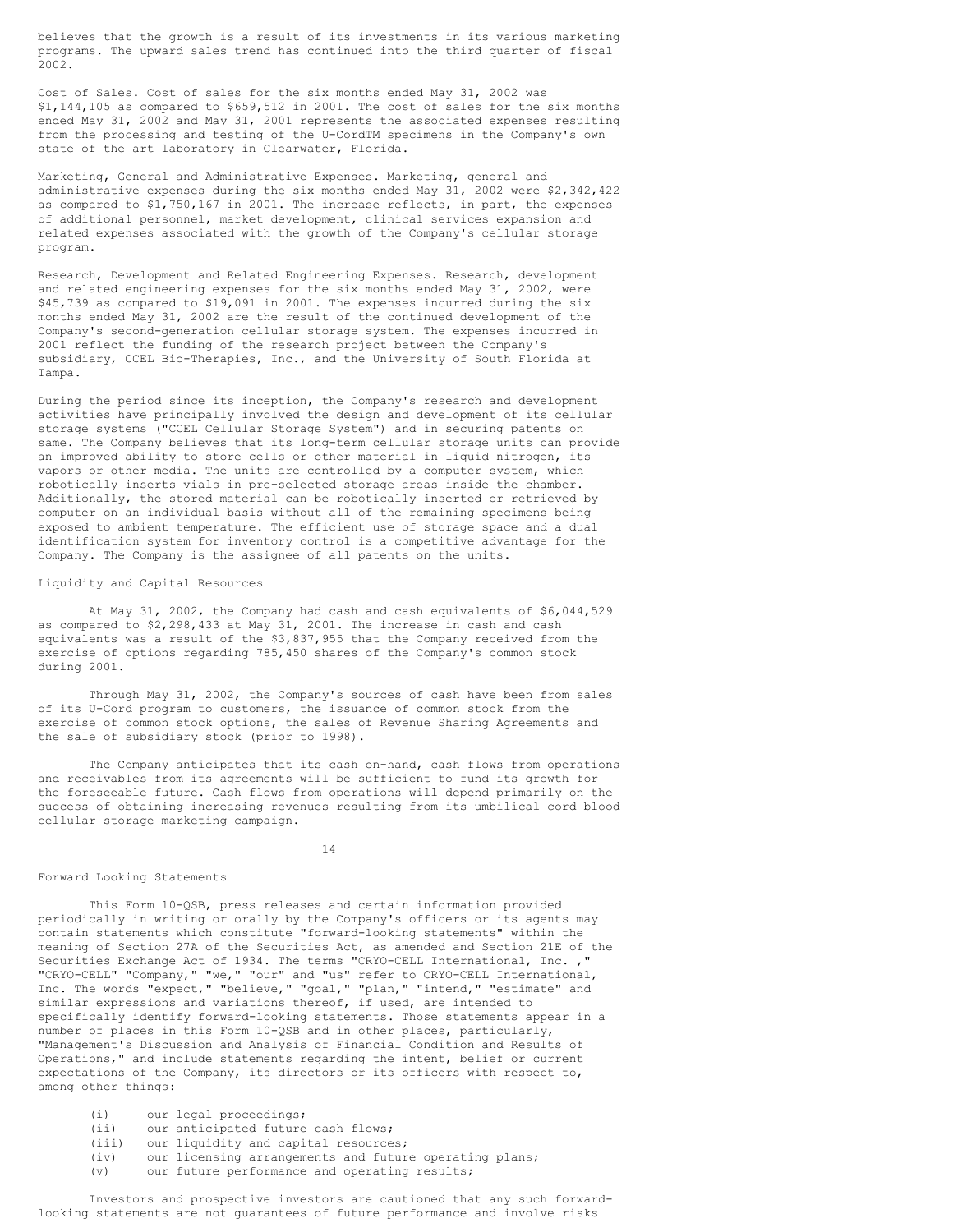believes that the growth is a result of its investments in its various marketing programs. The upward sales trend has continued into the third quarter of fiscal 2002.

Cost of Sales. Cost of sales for the six months ended May 31, 2002 was \$1,144,105 as compared to \$659,512 in 2001. The cost of sales for the six months ended May 31, 2002 and May 31, 2001 represents the associated expenses resulting from the processing and testing of the U-CordTM specimens in the Company's own state of the art laboratory in Clearwater, Florida.

Marketing, General and Administrative Expenses. Marketing, general and administrative expenses during the six months ended May 31, 2002 were \$2,342,422 as compared to \$1,750,167 in 2001. The increase reflects, in part, the expenses of additional personnel, market development, clinical services expansion and related expenses associated with the growth of the Company's cellular storage program.

Research, Development and Related Engineering Expenses. Research, development and related engineering expenses for the six months ended May 31, 2002, were \$45,739 as compared to \$19,091 in 2001. The expenses incurred during the six months ended May 31, 2002 are the result of the continued development of the Company's second-generation cellular storage system. The expenses incurred in 2001 reflect the funding of the research project between the Company's subsidiary, CCEL Bio-Therapies, Inc., and the University of South Florida at Tampa.

During the period since its inception, the Company's research and development activities have principally involved the design and development of its cellular storage systems ("CCEL Cellular Storage System") and in securing patents on same. The Company believes that its long-term cellular storage units can provide an improved ability to store cells or other material in liquid nitrogen, its vapors or other media. The units are controlled by a computer system, which robotically inserts vials in pre-selected storage areas inside the chamber. Additionally, the stored material can be robotically inserted or retrieved by computer on an individual basis without all of the remaining specimens being exposed to ambient temperature. The efficient use of storage space and a dual identification system for inventory control is a competitive advantage for the Company. The Company is the assignee of all patents on the units.

# Liquidity and Capital Resources

At May 31, 2002, the Company had cash and cash equivalents of \$6,044,529 as compared to \$2,298,433 at May 31, 2001. The increase in cash and cash equivalents was a result of the \$3,837,955 that the Company received from the exercise of options regarding 785,450 shares of the Company's common stock during 2001.

Through May 31, 2002, the Company's sources of cash have been from sales of its U-Cord program to customers, the issuance of common stock from the exercise of common stock options, the sales of Revenue Sharing Agreements and the sale of subsidiary stock (prior to 1998).

The Company anticipates that its cash on-hand, cash flows from operations and receivables from its agreements will be sufficient to fund its growth for the foreseeable future. Cash flows from operations will depend primarily on the success of obtaining increasing revenues resulting from its umbilical cord blood cellular storage marketing campaign.

### 14

#### Forward Looking Statements

This Form 10-QSB, press releases and certain information provided periodically in writing or orally by the Company's officers or its agents may contain statements which constitute "forward-looking statements" within the meaning of Section 27A of the Securities Act, as amended and Section 21E of the Securities Exchange Act of 1934. The terms "CRYO-CELL International, Inc. ," "CRYO-CELL" "Company," "we," "our" and "us" refer to CRYO-CELL International, Inc. The words "expect," "believe," "goal," "plan," "intend," "estimate" and similar expressions and variations thereof, if used, are intended to specifically identify forward-looking statements. Those statements appear in a number of places in this Form 10-QSB and in other places, particularly, "Management's Discussion and Analysis of Financial Condition and Results of Operations," and include statements regarding the intent, belief or current expectations of the Company, its directors or its officers with respect to, among other things:

- (i) our legal proceedings;
- (ii) our anticipated future cash flows;
- (iii) our liquidity and capital resources;
- (iv) our licensing arrangements and future operating plans;
- (v) our future performance and operating results;

Investors and prospective investors are cautioned that any such forwardlooking statements are not guarantees of future performance and involve risks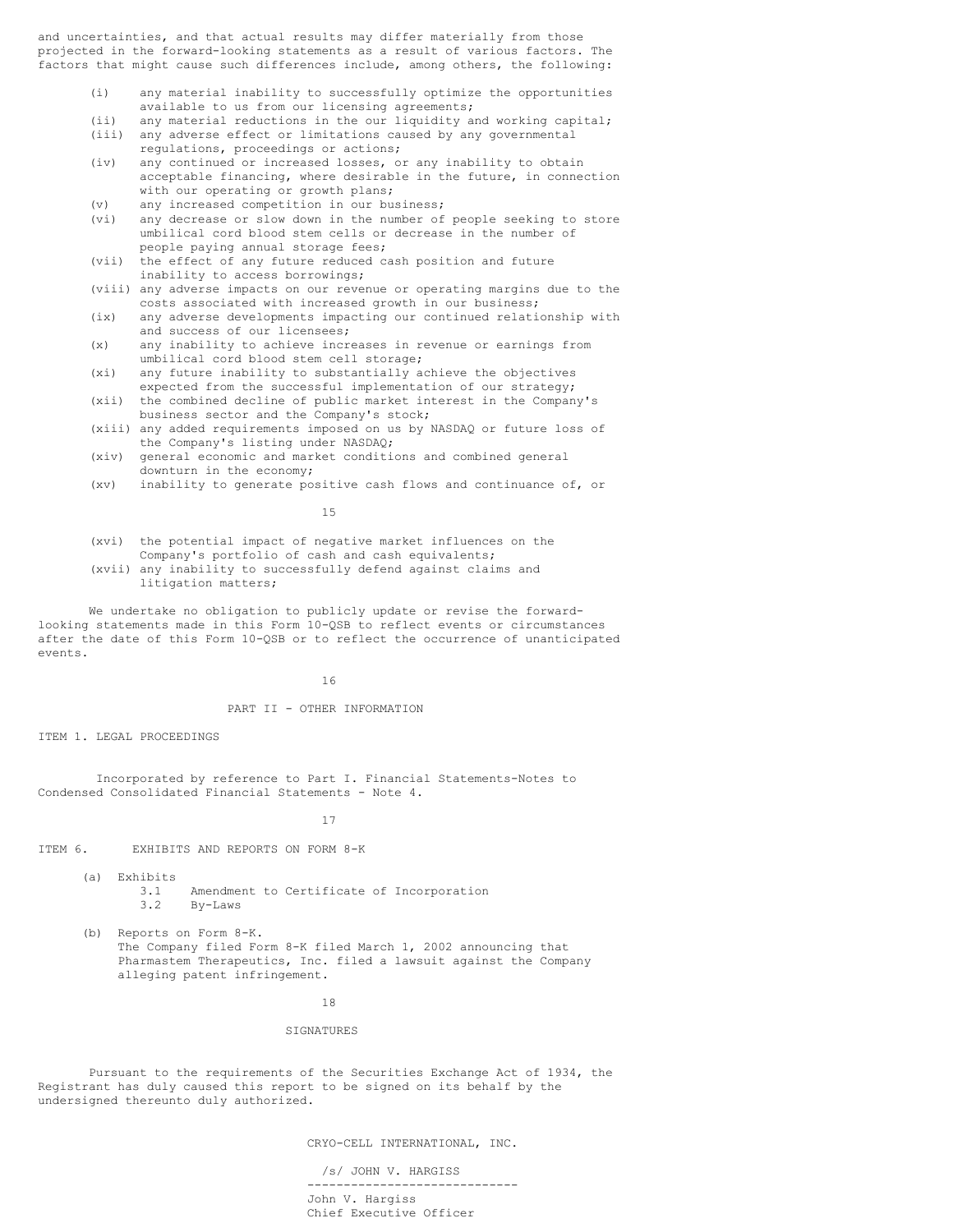and uncertainties, and that actual results may differ materially from those projected in the forward-looking statements as a result of various factors. The factors that might cause such differences include, among others, the following:

- (i) any material inability to successfully optimize the opportunities available to us from our licensing agreements;
- (ii) any material reductions in the our liquidity and working capital; (iii) any adverse effect or limitations caused by any governmental
- regulations, proceedings or actions;
- (iv) any continued or increased losses, or any inability to obtain acceptable financing, where desirable in the future, in connection with our operating or growth plans;
- (v) any increased competition in our business;
- (vi) any decrease or slow down in the number of people seeking to store umbilical cord blood stem cells or decrease in the number of people paying annual storage fees;
- (vii) the effect of any future reduced cash position and future inability to access borrowings;
- (viii) any adverse impacts on our revenue or operating margins due to the costs associated with increased growth in our business;
- (ix) any adverse developments impacting our continued relationship with and success of our licensees;
- (x) any inability to achieve increases in revenue or earnings from umbilical cord blood stem cell storage;
- (xi) any future inability to substantially achieve the objectives expected from the successful implementation of our strategy;
- (xii) the combined decline of public market interest in the Company's business sector and the Company's stock;
- (xiii) any added requirements imposed on us by NASDAQ or future loss of the Company's listing under NASDAQ;
- (xiv) general economic and market conditions and combined general downturn in the economy;
- (xv) inability to generate positive cash flows and continuance of, or

15

- (xvi) the potential impact of negative market influences on the Company's portfolio of cash and cash equivalents;
- (xvii) any inability to successfully defend against claims and litigation matters;

We undertake no obligation to publicly update or revise the forwardlooking statements made in this Form 10-QSB to reflect events or circumstances after the date of this Form 10-QSB or to reflect the occurrence of unanticipated events.

#### 16

# PART II - OTHER INFORMATION

ITEM 1. LEGAL PROCEEDINGS

Incorporated by reference to Part I. Financial Statements-Notes to Condensed Consolidated Financial Statements - Note 4.

17

ITEM 6. EXHIBITS AND REPORTS ON FORM 8-K

- (a) Exhibits 3.1 Amendment to Certificate of Incorporation<br>3.2 By-Laws 3.2 By-Laws
- (b) Reports on Form 8-K. The Company filed Form 8-K filed March 1, 2002 announcing that Pharmastem Therapeutics, Inc. filed a lawsuit against the Company alleging patent infringement.

18

#### SIGNATURES

Pursuant to the requirements of the Securities Exchange Act of 1934, the Registrant has duly caused this report to be signed on its behalf by the undersigned thereunto duly authorized.

CRYO-CELL INTERNATIONAL, INC.

/s/ JOHN V. HARGISS ----------------------------- John V. Hargiss Chief Executive Officer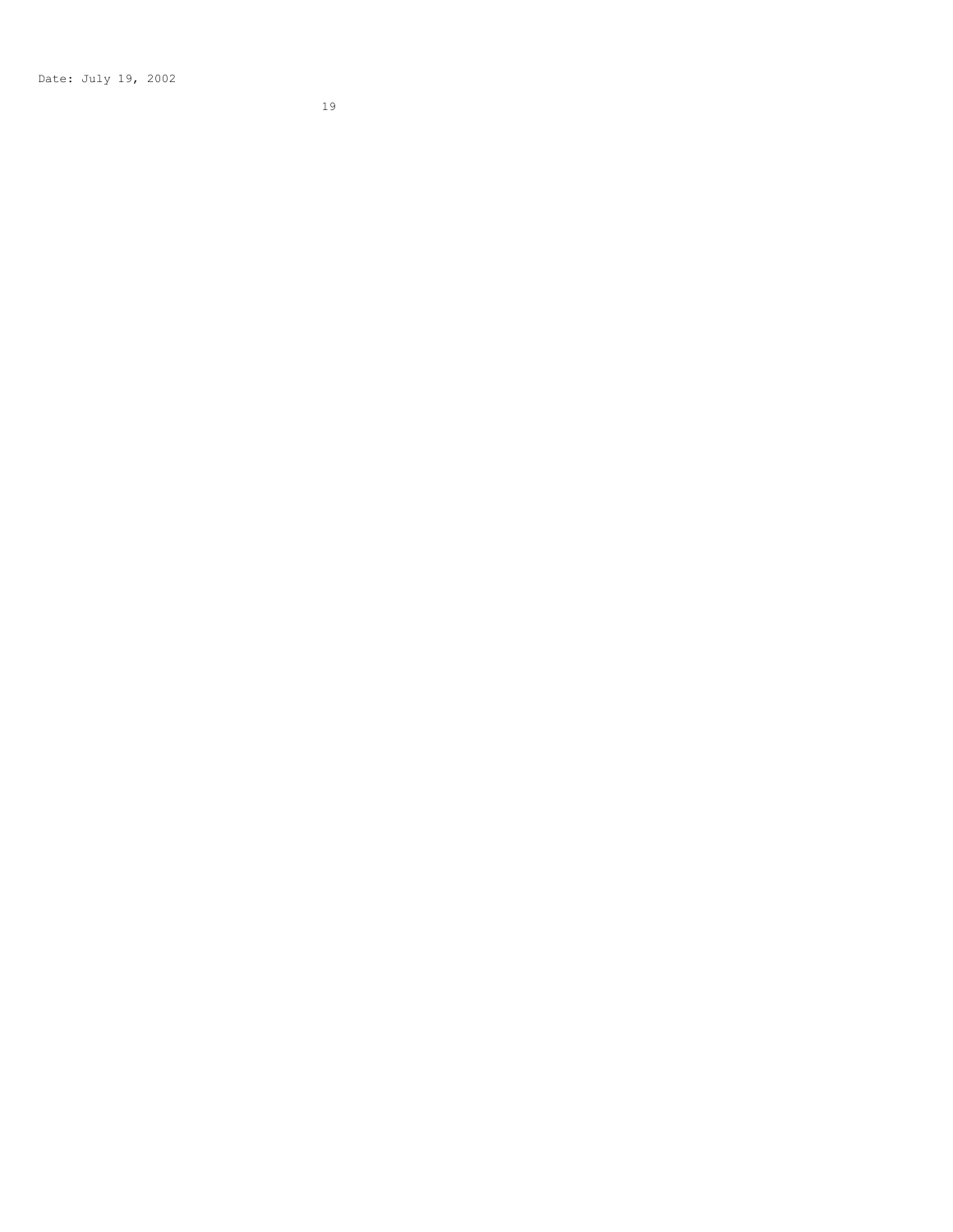Date: July 19, 2002

1 9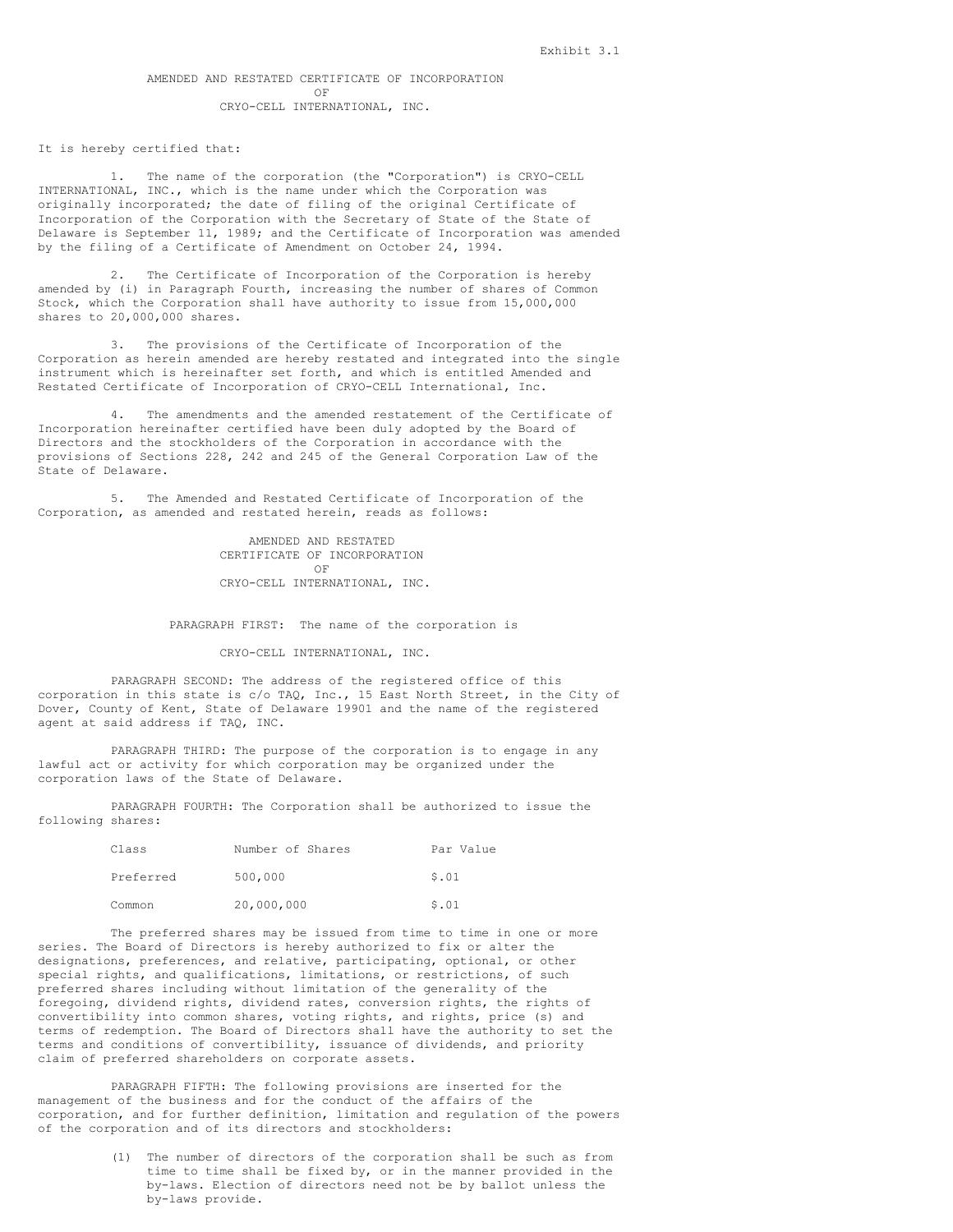### AMENDED AND RESTATED CERTIFICATE OF INCORPORATION OF CRYO-CELL INTERNATIONAL, INC.

It is hereby certified that:

The name of the corporation (the "Corporation") is CRYO-CELL INTERNATIONAL, INC., which is the name under which the Corporation was originally incorporated; the date of filing of the original Certificate of Incorporation of the Corporation with the Secretary of State of the State of Delaware is September 11, 1989; and the Certificate of Incorporation was amended by the filing of a Certificate of Amendment on October 24, 1994.

The Certificate of Incorporation of the Corporation is hereby amended by (i) in Paragraph Fourth, increasing the number of shares of Common Stock, which the Corporation shall have authority to issue from 15,000,000 shares to 20,000,000 shares.

3. The provisions of the Certificate of Incorporation of the Corporation as herein amended are hereby restated and integrated into the single instrument which is hereinafter set forth, and which is entitled Amended and Restated Certificate of Incorporation of CRYO-CELL International, Inc.

4. The amendments and the amended restatement of the Certificate of Incorporation hereinafter certified have been duly adopted by the Board of Directors and the stockholders of the Corporation in accordance with the provisions of Sections 228, 242 and 245 of the General Corporation Law of the State of Delaware.

5. The Amended and Restated Certificate of Incorporation of the Corporation, as amended and restated herein, reads as follows:

> AMENDED AND RESTATED CERTIFICATE OF INCORPORATION OF CRYO-CELL INTERNATIONAL, INC.

PARAGRAPH FIRST: The name of the corporation is

CRYO-CELL INTERNATIONAL, INC.

PARAGRAPH SECOND: The address of the registered office of this corporation in this state is c/o TAQ, Inc., 15 East North Street, in the City of Dover, County of Kent, State of Delaware 19901 and the name of the registered agent at said address if TAQ, INC.

PARAGRAPH THIRD: The purpose of the corporation is to engage in any lawful act or activity for which corporation may be organized under the corporation laws of the State of Delaware.

PARAGRAPH FOURTH: The Corporation shall be authorized to issue the following shares:

| Class     | Number of Shares | Par Value        |
|-----------|------------------|------------------|
| Preferred | 500,000          | $\mathsf{S}$ .01 |
| Common    | 20,000,000       | \$.01            |

The preferred shares may be issued from time to time in one or more series. The Board of Directors is hereby authorized to fix or alter the designations, preferences, and relative, participating, optional, or other special rights, and qualifications, limitations, or restrictions, of such preferred shares including without limitation of the generality of the foregoing, dividend rights, dividend rates, conversion rights, the rights of convertibility into common shares, voting rights, and rights, price (s) and terms of redemption. The Board of Directors shall have the authority to set the terms and conditions of convertibility, issuance of dividends, and priority claim of preferred shareholders on corporate assets.

PARAGRAPH FIFTH: The following provisions are inserted for the management of the business and for the conduct of the affairs of the corporation, and for further definition, limitation and regulation of the powers of the corporation and of its directors and stockholders:

> (1) The number of directors of the corporation shall be such as from time to time shall be fixed by, or in the manner provided in the by-laws. Election of directors need not be by ballot unless the by-laws provide.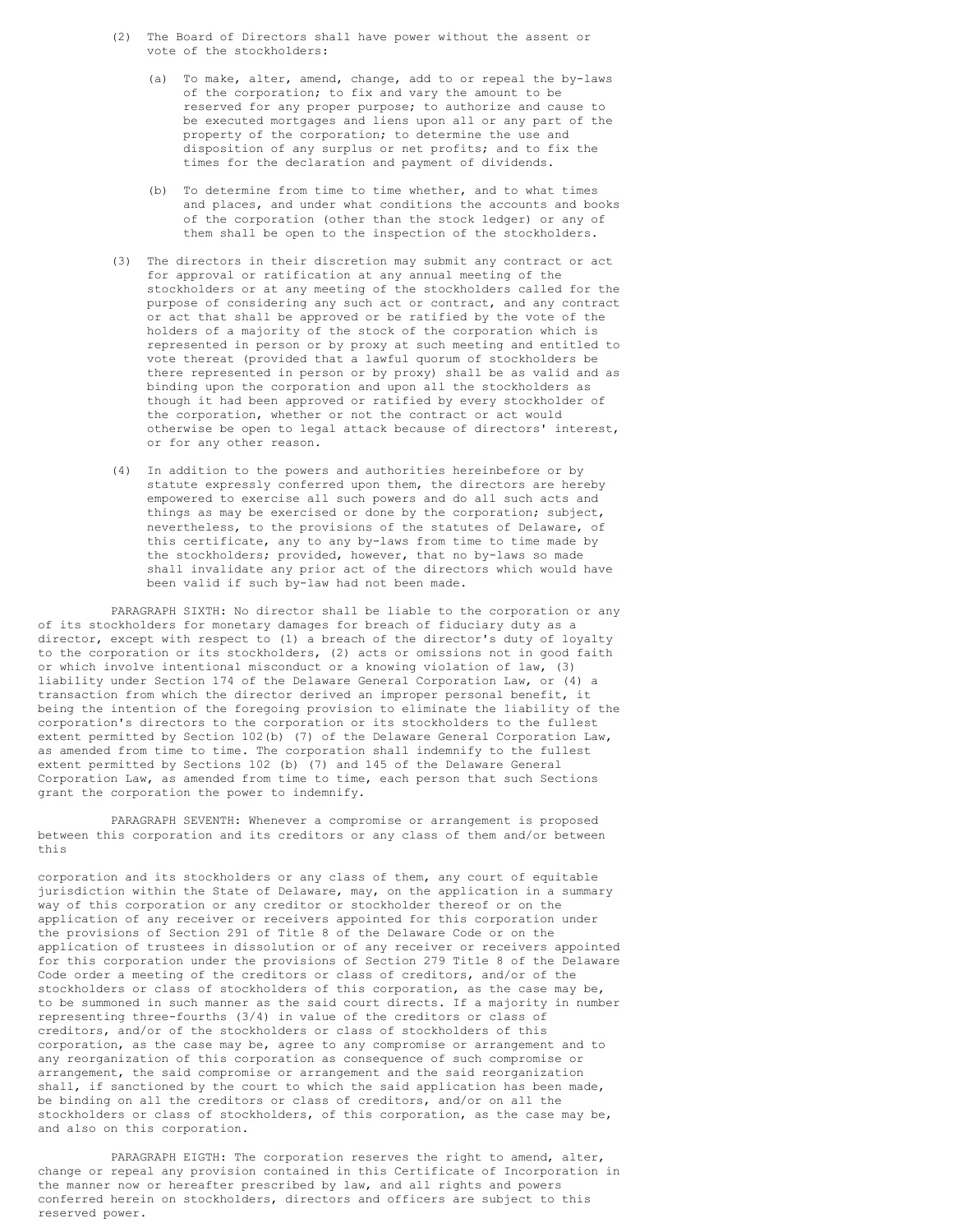- (2) The Board of Directors shall have power without the assent or vote of the stockholders:
	- (a) To make, alter, amend, change, add to or repeal the by-laws of the corporation; to fix and vary the amount to be reserved for any proper purpose; to authorize and cause to be executed mortgages and liens upon all or any part of the property of the corporation; to determine the use and disposition of any surplus or net profits; and to fix the times for the declaration and payment of dividends.
	- (b) To determine from time to time whether, and to what times and places, and under what conditions the accounts and books of the corporation (other than the stock ledger) or any of them shall be open to the inspection of the stockholders.
- (3) The directors in their discretion may submit any contract or act for approval or ratification at any annual meeting of the stockholders or at any meeting of the stockholders called for the purpose of considering any such act or contract, and any contract or act that shall be approved or be ratified by the vote of the holders of a majority of the stock of the corporation which is represented in person or by proxy at such meeting and entitled to vote thereat (provided that a lawful quorum of stockholders be there represented in person or by proxy) shall be as valid and as binding upon the corporation and upon all the stockholders as though it had been approved or ratified by every stockholder of the corporation, whether or not the contract or act would otherwise be open to legal attack because of directors' interest, or for any other reason.
- (4) In addition to the powers and authorities hereinbefore or by statute expressly conferred upon them, the directors are hereby empowered to exercise all such powers and do all such acts and things as may be exercised or done by the corporation; subject, nevertheless, to the provisions of the statutes of Delaware, of this certificate, any to any by-laws from time to time made by the stockholders; provided, however, that no by-laws so made shall invalidate any prior act of the directors which would have been valid if such by-law had not been made.

PARAGRAPH SIXTH: No director shall be liable to the corporation or any of its stockholders for monetary damages for breach of fiduciary duty as a director, except with respect to (1) a breach of the director's duty of loyalty to the corporation or its stockholders, (2) acts or omissions not in good faith or which involve intentional misconduct or a knowing violation of law, (3) liability under Section 174 of the Delaware General Corporation Law, or (4) a transaction from which the director derived an improper personal benefit, it being the intention of the foregoing provision to eliminate the liability of the corporation's directors to the corporation or its stockholders to the fullest extent permitted by Section 102(b) (7) of the Delaware General Corporation Law, as amended from time to time. The corporation shall indemnify to the fullest extent permitted by Sections 102 (b) (7) and 145 of the Delaware General Corporation Law, as amended from time to time, each person that such Sections grant the corporation the power to indemnify.

PARAGRAPH SEVENTH: Whenever a compromise or arrangement is proposed between this corporation and its creditors or any class of them and/or between this

corporation and its stockholders or any class of them, any court of equitable jurisdiction within the State of Delaware, may, on the application in a summary way of this corporation or any creditor or stockholder thereof or on the application of any receiver or receivers appointed for this corporation under the provisions of Section 291 of Title 8 of the Delaware Code or on the application of trustees in dissolution or of any receiver or receivers appointed for this corporation under the provisions of Section 279 Title 8 of the Delaware Code order a meeting of the creditors or class of creditors, and/or of the stockholders or class of stockholders of this corporation, as the case may be, to be summoned in such manner as the said court directs. If a majority in number representing three-fourths (3/4) in value of the creditors or class of creditors, and/or of the stockholders or class of stockholders of this corporation, as the case may be, agree to any compromise or arrangement and to any reorganization of this corporation as consequence of such compromise or arrangement, the said compromise or arrangement and the said reorganization shall, if sanctioned by the court to which the said application has been made, be binding on all the creditors or class of creditors, and/or on all the stockholders or class of stockholders, of this corporation, as the case may be, and also on this corporation.

PARAGRAPH EIGTH: The corporation reserves the right to amend, alter, change or repeal any provision contained in this Certificate of Incorporation in the manner now or hereafter prescribed by law, and all rights and powers conferred herein on stockholders, directors and officers are subject to this reserved power.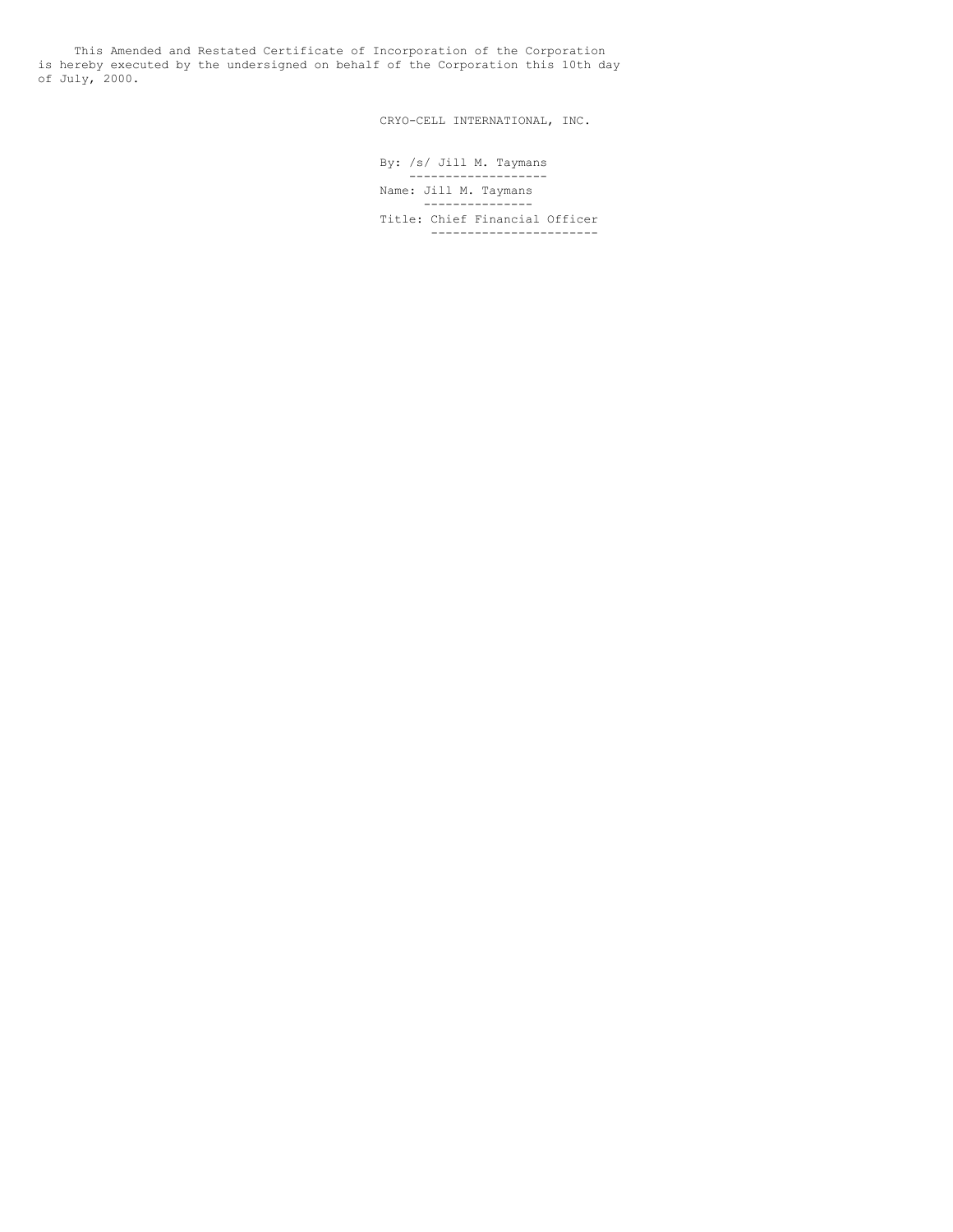This Amended and Restated Certificate of Incorporation of the Corporation is hereby executed by the undersigned on behalf of the Corporation this 10th day of July, 2000.

CRYO-CELL INTERNATIONAL, INC.

By: /s/ Jill M. Taymans ------------------- Name: Jill M. Taymans --------------- Title: Chief Financial Officer -----------------------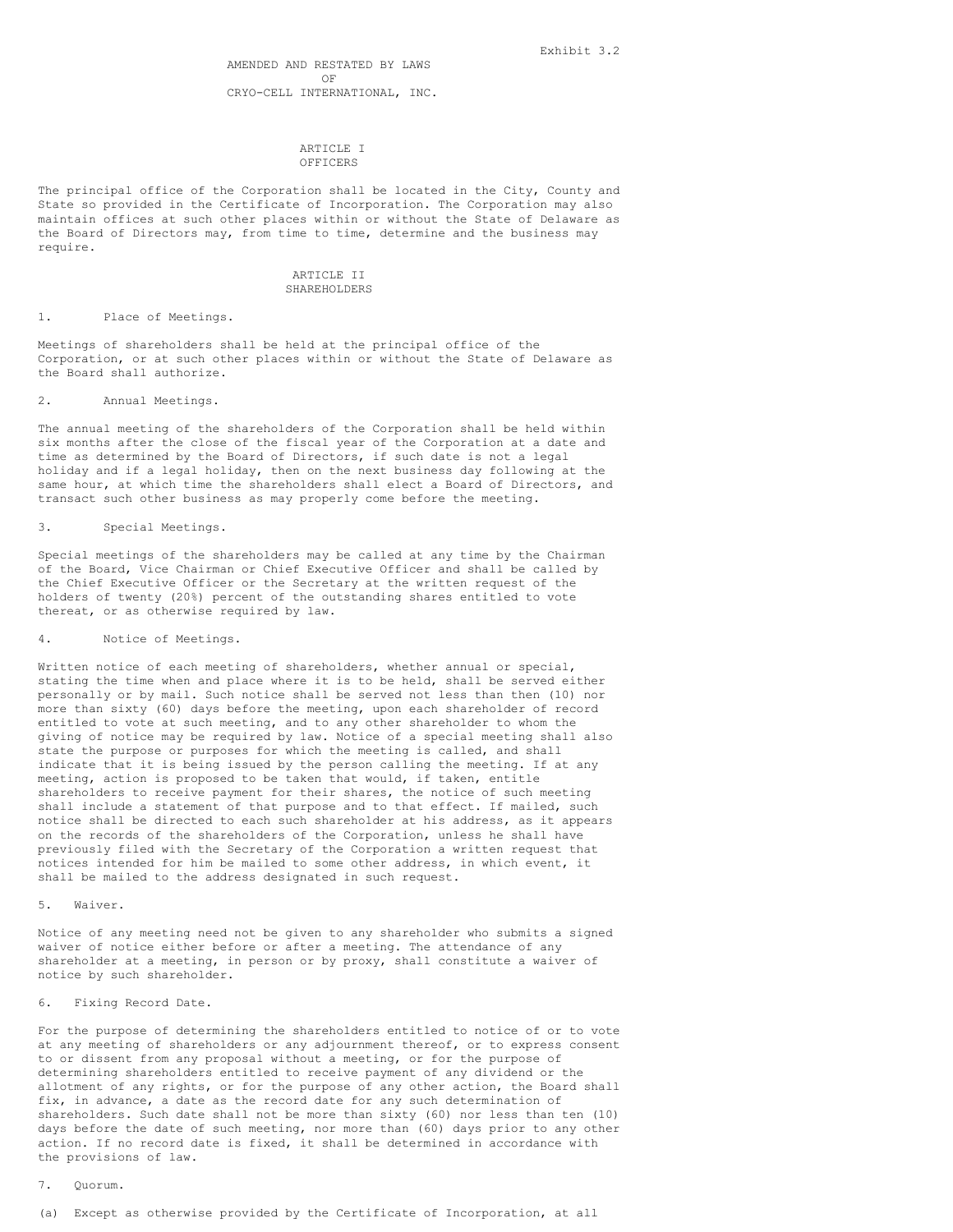#### ARTICLE I OFFICERS

The principal office of the Corporation shall be located in the City, County and State so provided in the Certificate of Incorporation. The Corporation may also maintain offices at such other places within or without the State of Delaware as the Board of Directors may, from time to time, determine and the business may require.

### ARTICLE II SHAREHOLDERS

# 1. Place of Meetings.

Meetings of shareholders shall be held at the principal office of the Corporation, or at such other places within or without the State of Delaware as the Board shall authorize.

#### 2. Annual Meetings.

The annual meeting of the shareholders of the Corporation shall be held within six months after the close of the fiscal year of the Corporation at a date and time as determined by the Board of Directors, if such date is not a legal holiday and if a legal holiday, then on the next business day following at the same hour, at which time the shareholders shall elect a Board of Directors, and transact such other business as may properly come before the meeting.

### 3. Special Meetings.

Special meetings of the shareholders may be called at any time by the Chairman of the Board, Vice Chairman or Chief Executive Officer and shall be called by the Chief Executive Officer or the Secretary at the written request of the holders of twenty (20%) percent of the outstanding shares entitled to vote thereat, or as otherwise required by law.

#### 4. Notice of Meetings.

Written notice of each meeting of shareholders, whether annual or special, stating the time when and place where it is to be held, shall be served either personally or by mail. Such notice shall be served not less than then (10) nor more than sixty (60) days before the meeting, upon each shareholder of record entitled to vote at such meeting, and to any other shareholder to whom the giving of notice may be required by law. Notice of a special meeting shall also state the purpose or purposes for which the meeting is called, and shall indicate that it is being issued by the person calling the meeting. If at any meeting, action is proposed to be taken that would, if taken, entitle shareholders to receive payment for their shares, the notice of such meeting shall include a statement of that purpose and to that effect. If mailed, such notice shall be directed to each such shareholder at his address, as it appears on the records of the shareholders of the Corporation, unless he shall have previously filed with the Secretary of the Corporation a written request that notices intended for him be mailed to some other address, in which event, it shall be mailed to the address designated in such request.

### 5. Waiver.

Notice of any meeting need not be given to any shareholder who submits a signed waiver of notice either before or after a meeting. The attendance of any shareholder at a meeting, in person or by proxy, shall constitute a waiver of notice by such shareholder.

### 6. Fixing Record Date.

For the purpose of determining the shareholders entitled to notice of or to vote at any meeting of shareholders or any adjournment thereof, or to express consent to or dissent from any proposal without a meeting, or for the purpose of determining shareholders entitled to receive payment of any dividend or the allotment of any rights, or for the purpose of any other action, the Board shall fix, in advance, a date as the record date for any such determination of shareholders. Such date shall not be more than sixty (60) nor less than ten (10) days before the date of such meeting, nor more than (60) days prior to any other action. If no record date is fixed, it shall be determined in accordance with the provisions of law.

#### 7. Quorum.

### (a) Except as otherwise provided by the Certificate of Incorporation, at all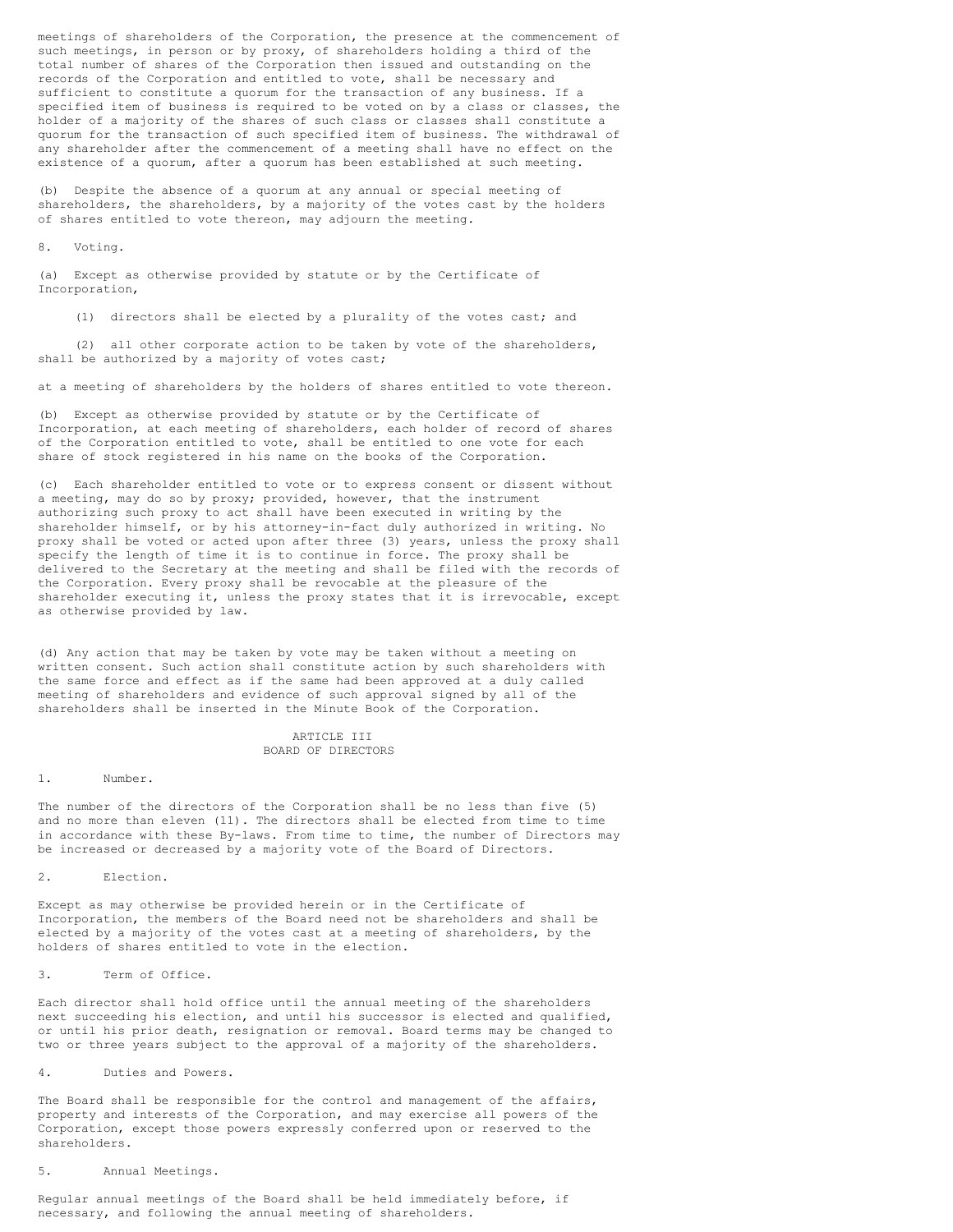meetings of shareholders of the Corporation, the presence at the commencement of such meetings, in person or by proxy, of shareholders holding a third of the total number of shares of the Corporation then issued and outstanding on the records of the Corporation and entitled to vote, shall be necessary and sufficient to constitute a quorum for the transaction of any business. If a specified item of business is required to be voted on by a class or classes, the holder of a majority of the shares of such class or classes shall constitute a quorum for the transaction of such specified item of business. The withdrawal of any shareholder after the commencement of a meeting shall have no effect on the existence of a quorum, after a quorum has been established at such meeting.

(b) Despite the absence of a quorum at any annual or special meeting of shareholders, the shareholders, by a majority of the votes cast by the holders of shares entitled to vote thereon, may adjourn the meeting.

## 8. Voting.

(a) Except as otherwise provided by statute or by the Certificate of Incorporation,

(1) directors shall be elected by a plurality of the votes cast; and

(2) all other corporate action to be taken by vote of the shareholders, shall be authorized by a majority of votes cast;

at a meeting of shareholders by the holders of shares entitled to vote thereon.

(b) Except as otherwise provided by statute or by the Certificate of Incorporation, at each meeting of shareholders, each holder of record of shares of the Corporation entitled to vote, shall be entitled to one vote for each share of stock registered in his name on the books of the Corporation.

(c) Each shareholder entitled to vote or to express consent or dissent without a meeting, may do so by proxy; provided, however, that the instrument authorizing such proxy to act shall have been executed in writing by the shareholder himself, or by his attorney-in-fact duly authorized in writing. No proxy shall be voted or acted upon after three (3) years, unless the proxy shall specify the length of time it is to continue in force. The proxy shall be delivered to the Secretary at the meeting and shall be filed with the records of the Corporation. Every proxy shall be revocable at the pleasure of the shareholder executing it, unless the proxy states that it is irrevocable, except as otherwise provided by law.

(d) Any action that may be taken by vote may be taken without a meeting on written consent. Such action shall constitute action by such shareholders with the same force and effect as if the same had been approved at a duly called meeting of shareholders and evidence of such approval signed by all of the shareholders shall be inserted in the Minute Book of the Corporation.

### ARTICLE III BOARD OF DIRECTORS

#### 1. Number.

The number of the directors of the Corporation shall be no less than five (5) and no more than eleven (11). The directors shall be elected from time to time in accordance with these By-laws. From time to time, the number of Directors may be increased or decreased by a majority vote of the Board of Directors.

2. Election.

Except as may otherwise be provided herein or in the Certificate of Incorporation, the members of the Board need not be shareholders and shall be elected by a majority of the votes cast at a meeting of shareholders, by the holders of shares entitled to vote in the election.

3. Term of Office.

Each director shall hold office until the annual meeting of the shareholders next succeeding his election, and until his successor is elected and qualified, or until his prior death, resignation or removal. Board terms may be changed to two or three years subject to the approval of a majority of the shareholders.

4. Duties and Powers.

The Board shall be responsible for the control and management of the affairs, property and interests of the Corporation, and may exercise all powers of the Corporation, except those powers expressly conferred upon or reserved to the shareholders.

5. Annual Meetings.

Regular annual meetings of the Board shall be held immediately before, if necessary, and following the annual meeting of shareholders.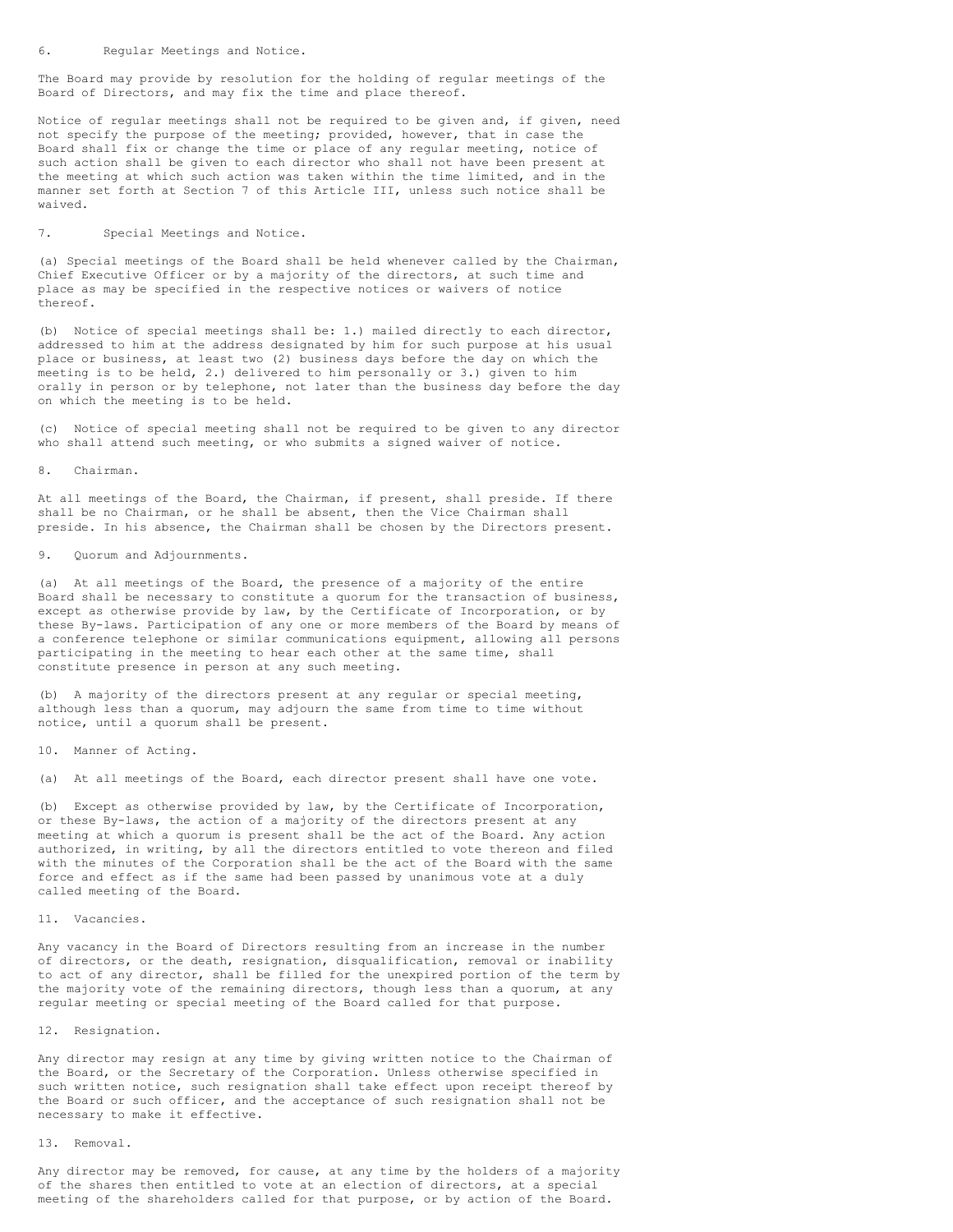#### 6. Regular Meetings and Notice.

The Board may provide by resolution for the holding of regular meetings of the Board of Directors, and may fix the time and place thereof.

Notice of regular meetings shall not be required to be given and, if given, need not specify the purpose of the meeting; provided, however, that in case the Board shall fix or change the time or place of any regular meeting, notice of such action shall be given to each director who shall not have been present at the meeting at which such action was taken within the time limited, and in the manner set forth at Section 7 of this Article III, unless such notice shall be waived.

#### 7. Special Meetings and Notice.

(a) Special meetings of the Board shall be held whenever called by the Chairman, Chief Executive Officer or by a majority of the directors, at such time and place as may be specified in the respective notices or waivers of notice thereof.

(b) Notice of special meetings shall be: 1.) mailed directly to each director, addressed to him at the address designated by him for such purpose at his usual place or business, at least two (2) business days before the day on which the meeting is to be held, 2.) delivered to him personally or 3.) given to him orally in person or by telephone, not later than the business day before the day on which the meeting is to be held.

(c) Notice of special meeting shall not be required to be given to any director who shall attend such meeting, or who submits a signed waiver of notice.

#### 8. Chairman.

At all meetings of the Board, the Chairman, if present, shall preside. If there shall be no Chairman, or he shall be absent, then the Vice Chairman shall preside. In his absence, the Chairman shall be chosen by the Directors present.

## 9. Quorum and Adjournments.

(a) At all meetings of the Board, the presence of a majority of the entire Board shall be necessary to constitute a quorum for the transaction of business, except as otherwise provide by law, by the Certificate of Incorporation, or by these By-laws. Participation of any one or more members of the Board by means of a conference telephone or similar communications equipment, allowing all persons participating in the meeting to hear each other at the same time, shall constitute presence in person at any such meeting.

(b) A majority of the directors present at any regular or special meeting, although less than a quorum, may adjourn the same from time to time without notice, until a quorum shall be present.

10. Manner of Acting.

(a) At all meetings of the Board, each director present shall have one vote.

(b) Except as otherwise provided by law, by the Certificate of Incorporation, or these By-laws, the action of a majority of the directors present at any meeting at which a quorum is present shall be the act of the Board. Any action authorized, in writing, by all the directors entitled to vote thereon and filed with the minutes of the Corporation shall be the act of the Board with the same force and effect as if the same had been passed by unanimous vote at a duly called meeting of the Board.

### 11. Vacancies.

Any vacancy in the Board of Directors resulting from an increase in the number of directors, or the death, resignation, disqualification, removal or inability to act of any director, shall be filled for the unexpired portion of the term by the majority vote of the remaining directors, though less than a quorum, at any regular meeting or special meeting of the Board called for that purpose.

## 12. Resignation.

Any director may resign at any time by giving written notice to the Chairman of the Board, or the Secretary of the Corporation. Unless otherwise specified in such written notice, such resignation shall take effect upon receipt thereof by the Board or such officer, and the acceptance of such resignation shall not be necessary to make it effective.

### 13. Removal.

Any director may be removed, for cause, at any time by the holders of a majority of the shares then entitled to vote at an election of directors, at a special meeting of the shareholders called for that purpose, or by action of the Board.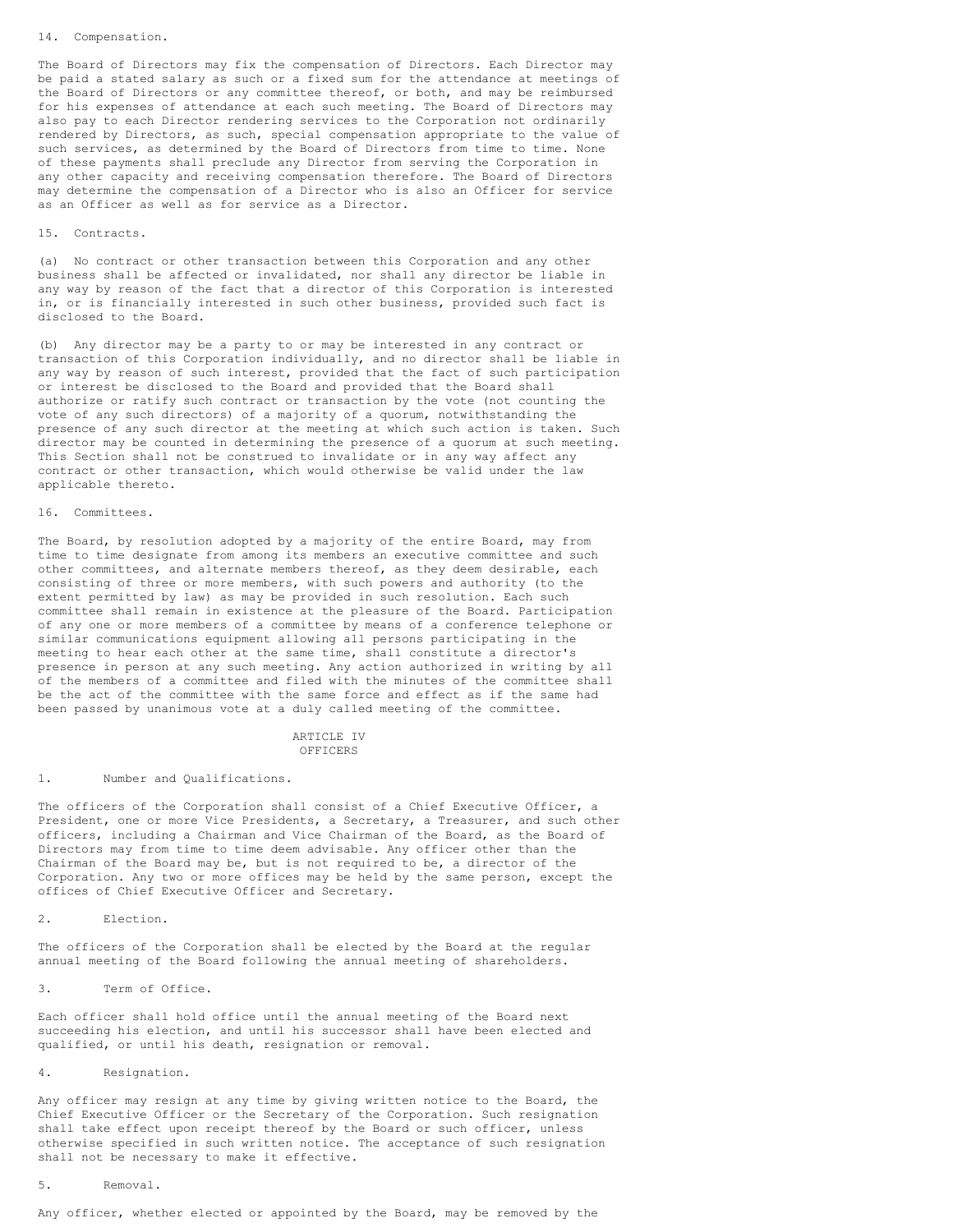### 14. Compensation.

The Board of Directors may fix the compensation of Directors. Each Director may be paid a stated salary as such or a fixed sum for the attendance at meetings of the Board of Directors or any committee thereof, or both, and may be reimbursed for his expenses of attendance at each such meeting. The Board of Directors may also pay to each Director rendering services to the Corporation not ordinarily rendered by Directors, as such, special compensation appropriate to the value of such services, as determined by the Board of Directors from time to time. None of these payments shall preclude any Director from serving the Corporation in any other capacity and receiving compensation therefore. The Board of Directors may determine the compensation of a Director who is also an Officer for service as an Officer as well as for service as a Director.

### 15. Contracts.

(a) No contract or other transaction between this Corporation and any other business shall be affected or invalidated, nor shall any director be liable in any way by reason of the fact that a director of this Corporation is interested in, or is financially interested in such other business, provided such fact is disclosed to the Board.

(b) Any director may be a party to or may be interested in any contract or transaction of this Corporation individually, and no director shall be liable in any way by reason of such interest, provided that the fact of such participation or interest be disclosed to the Board and provided that the Board shall authorize or ratify such contract or transaction by the vote (not counting the vote of any such directors) of a majority of a quorum, notwithstanding the presence of any such director at the meeting at which such action is taken. Such director may be counted in determining the presence of a quorum at such meeting. This Section shall not be construed to invalidate or in any way affect any contract or other transaction, which would otherwise be valid under the law applicable thereto.

# 16. Committees.

The Board, by resolution adopted by a majority of the entire Board, may from time to time designate from among its members an executive committee and such other committees, and alternate members thereof, as they deem desirable, each consisting of three or more members, with such powers and authority (to the extent permitted by law) as may be provided in such resolution. Each such committee shall remain in existence at the pleasure of the Board. Participation of any one or more members of a committee by means of a conference telephone or similar communications equipment allowing all persons participating in the meeting to hear each other at the same time, shall constitute a director's presence in person at any such meeting. Any action authorized in writing by all of the members of a committee and filed with the minutes of the committee shall be the act of the committee with the same force and effect as if the same had been passed by unanimous vote at a duly called meeting of the committee.

### ARTICLE IV OFFICERS

### 1. Number and Qualifications.

The officers of the Corporation shall consist of a Chief Executive Officer, a President, one or more Vice Presidents, a Secretary, a Treasurer, and such other officers, including a Chairman and Vice Chairman of the Board, as the Board of Directors may from time to time deem advisable. Any officer other than the Chairman of the Board may be, but is not required to be, a director of the Corporation. Any two or more offices may be held by the same person, except the offices of Chief Executive Officer and Secretary.

2. Election.

The officers of the Corporation shall be elected by the Board at the regular annual meeting of the Board following the annual meeting of shareholders.

3. Term of Office.

Each officer shall hold office until the annual meeting of the Board next succeeding his election, and until his successor shall have been elected and qualified, or until his death, resignation or removal.

4. Resignation.

Any officer may resign at any time by giving written notice to the Board, the Chief Executive Officer or the Secretary of the Corporation. Such resignation shall take effect upon receipt thereof by the Board or such officer, unless otherwise specified in such written notice. The acceptance of such resignation shall not be necessary to make it effective.

#### 5. Removal.

Any officer, whether elected or appointed by the Board, may be removed by the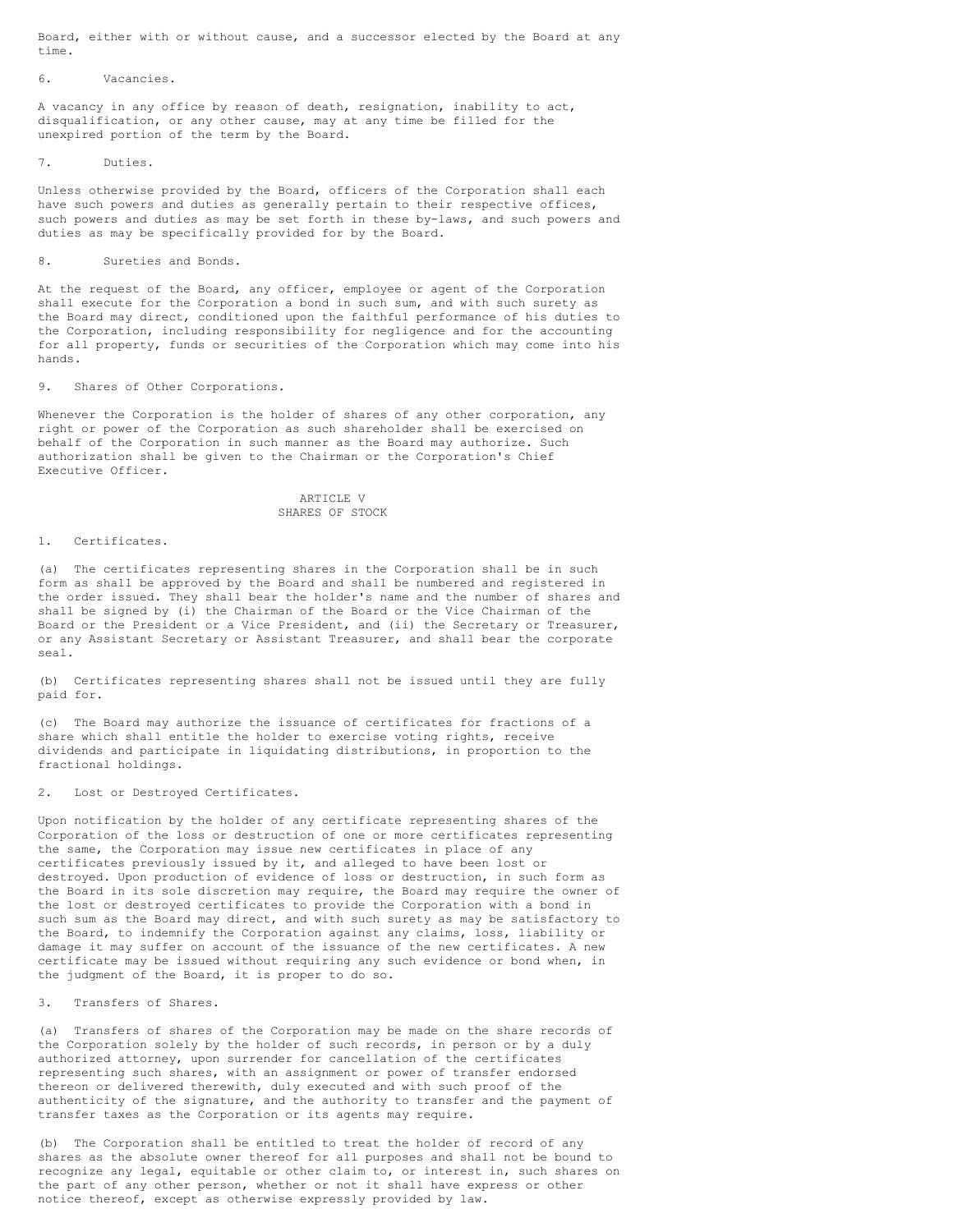Board, either with or without cause, and a successor elected by the Board at any time.

6. Vacancies.

A vacancy in any office by reason of death, resignation, inability to act, disqualification, or any other cause, may at any time be filled for the unexpired portion of the term by the Board.

7. Duties.

Unless otherwise provided by the Board, officers of the Corporation shall each have such powers and duties as generally pertain to their respective offices, such powers and duties as may be set forth in these by-laws, and such powers and duties as may be specifically provided for by the Board.

8. Sureties and Bonds.

At the request of the Board, any officer, employee or agent of the Corporation shall execute for the Corporation a bond in such sum, and with such surety as the Board may direct, conditioned upon the faithful performance of his duties to the Corporation, including responsibility for negligence and for the accounting for all property, funds or securities of the Corporation which may come into his hands.

9. Shares of Other Corporations.

Whenever the Corporation is the holder of shares of any other corporation, any right or power of the Corporation as such shareholder shall be exercised on behalf of the Corporation in such manner as the Board may authorize. Such authorization shall be given to the Chairman or the Corporation's Chief Executive Officer.

## ARTICLE V SHARES OF STOCK

#### 1. Certificates.

(a) The certificates representing shares in the Corporation shall be in such form as shall be approved by the Board and shall be numbered and registered in the order issued. They shall bear the holder's name and the number of shares and shall be signed by (i) the Chairman of the Board or the Vice Chairman of the Board or the President or a Vice President, and (ii) the Secretary or Treasurer, or any Assistant Secretary or Assistant Treasurer, and shall bear the corporate seal.

(b) Certificates representing shares shall not be issued until they are fully paid for.

(c) The Board may authorize the issuance of certificates for fractions of a share which shall entitle the holder to exercise voting rights, receive dividends and participate in liquidating distributions, in proportion to the fractional holdings.

# 2. Lost or Destroyed Certificates.

Upon notification by the holder of any certificate representing shares of the Corporation of the loss or destruction of one or more certificates representing the same, the Corporation may issue new certificates in place of any certificates previously issued by it, and alleged to have been lost or destroyed. Upon production of evidence of loss or destruction, in such form as the Board in its sole discretion may require, the Board may require the owner of the lost or destroyed certificates to provide the Corporation with a bond in such sum as the Board may direct, and with such surety as may be satisfactory to the Board, to indemnify the Corporation against any claims, loss, liability or damage it may suffer on account of the issuance of the new certificates. A new certificate may be issued without requiring any such evidence or bond when, in the judgment of the Board, it is proper to do so.

3. Transfers of Shares.

(a) Transfers of shares of the Corporation may be made on the share records of the Corporation solely by the holder of such records, in person or by a duly authorized attorney, upon surrender for cancellation of the certificates representing such shares, with an assignment or power of transfer endorsed thereon or delivered therewith, duly executed and with such proof of the authenticity of the signature, and the authority to transfer and the payment of transfer taxes as the Corporation or its agents may require.

(b) The Corporation shall be entitled to treat the holder of record of any shares as the absolute owner thereof for all purposes and shall not be bound to recognize any legal, equitable or other claim to, or interest in, such shares on the part of any other person, whether or not it shall have express or other notice thereof, except as otherwise expressly provided by law.